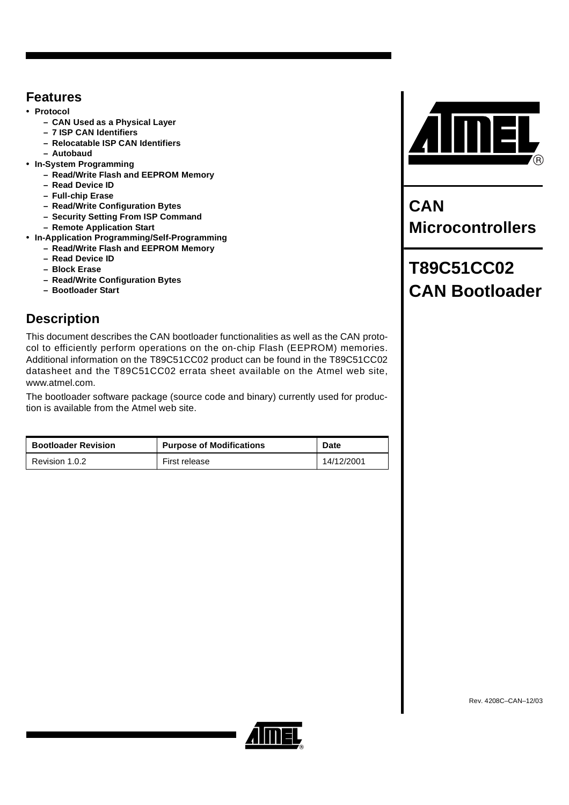## <span id="page-0-0"></span>**Features**

- **Protocol**
	- **CAN Used as a Physical Layer**
	- **7 ISP CAN Identifiers**
	- **Relocatable ISP CAN Identifiers**
	- **Autobaud**
- **In-System Programming**
	- **Read/Write Flash and EEPROM Memory**
	- **Read Device ID**
	- **Full-chip Erase**
	- **Read/Write Configuration Bytes**
	- **Security Setting From ISP Command**
	- **Remote Application Start**
- **In-Application Programming/Self-Programming**
	- **Read/Write Flash and EEPROM Memory**
	- **Read Device ID**
	- **Block Erase**
	- **Read/Write Configuration Bytes**
	- **Bootloader Start**

## <span id="page-0-1"></span>**Description**

This document describes the CAN bootloader functionalities as well as the CAN protocol to efficiently perform operations on the on-chip Flash (EEPROM) memories. Additional information on the T89C51CC02 product can be found in the T89C51CC02 datasheet and the T89C51CC02 errata sheet available on the Atmel web site, www.atmel.com.

The bootloader software package (source code and binary) currently used for production is available from the Atmel web site.

| <b>Bootloader Revision</b> | <b>Purpose of Modifications</b> | <b>Date</b> |
|----------------------------|---------------------------------|-------------|
| Revision 1.0.2             | First release                   | 14/12/2001  |



**CAN Microcontrollers**

# **T89C51CC02 CAN Bootloader**

Rev. 4208C–CAN–12/03

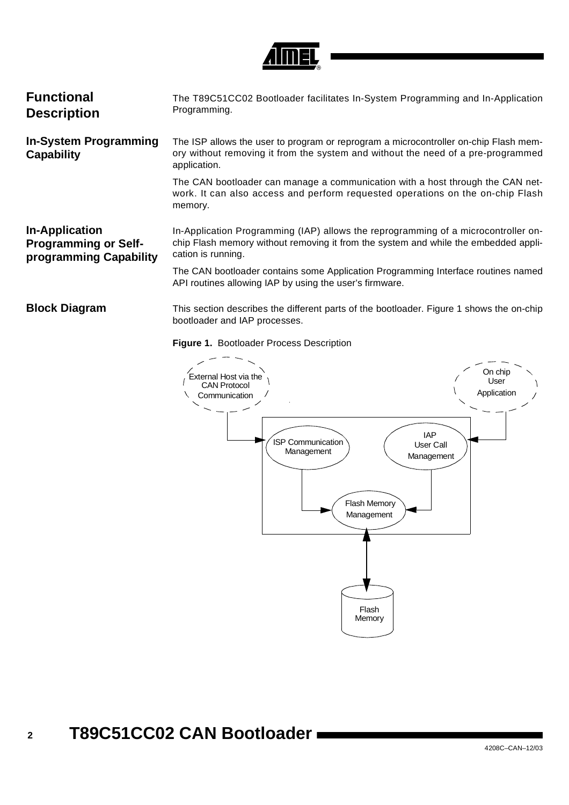

<span id="page-1-3"></span><span id="page-1-2"></span><span id="page-1-1"></span>

| <b>Functional</b><br><b>Description</b>                                        | The T89C51CC02 Bootloader facilitates In-System Programming and In-Application<br>Programming.                                                                                                  |
|--------------------------------------------------------------------------------|-------------------------------------------------------------------------------------------------------------------------------------------------------------------------------------------------|
| <b>In-System Programming</b><br><b>Capability</b>                              | The ISP allows the user to program or reprogram a microcontroller on-chip Flash mem-<br>ory without removing it from the system and without the need of a pre-programmed<br>application.        |
|                                                                                | The CAN bootloader can manage a communication with a host through the CAN net-<br>work. It can also access and perform requested operations on the on-chip Flash<br>memory.                     |
| <b>In-Application</b><br><b>Programming or Self-</b><br>programming Capability | In-Application Programming (IAP) allows the reprogramming of a microcontroller on-<br>chip Flash memory without removing it from the system and while the embedded appli-<br>cation is running. |
|                                                                                | The CAN bootloader contains some Application Programming Interface routines named<br>API routines allowing IAP by using the user's firmware.                                                    |
| <b>Block Diagram</b>                                                           | This section describes the different parts of the bootloader. Figure 1 shows the on-chip<br>bootloader and IAP processes.                                                                       |

### <span id="page-1-4"></span><span id="page-1-0"></span>**Figure 1.** Bootloader Process Description

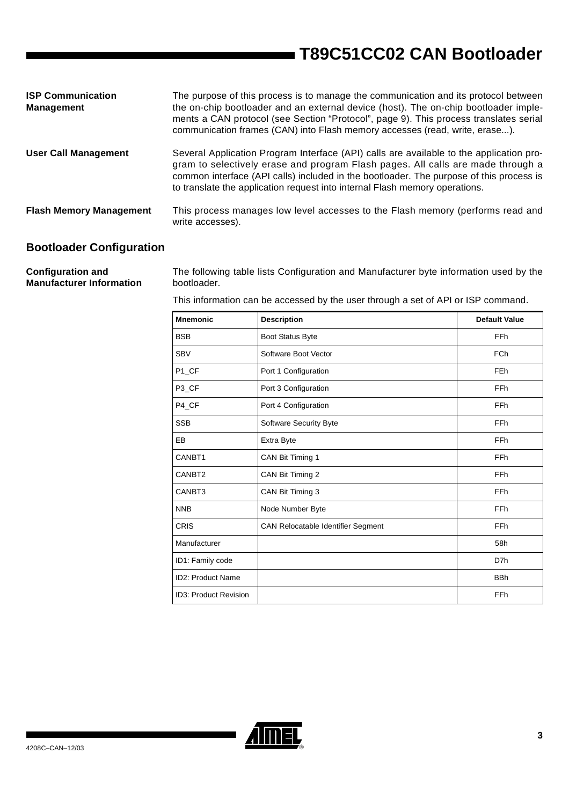| <b>ISP Communication</b><br>Management | The purpose of this process is to manage the communication and its protocol between<br>the on-chip bootloader and an external device (host). The on-chip bootloader imple-<br>ments a CAN protocol (see Section "Protocol", page 9). This process translates serial<br>communication frames (CAN) into Flash memory accesses (read, write, erase).   |
|----------------------------------------|------------------------------------------------------------------------------------------------------------------------------------------------------------------------------------------------------------------------------------------------------------------------------------------------------------------------------------------------------|
| <b>User Call Management</b>            | Several Application Program Interface (API) calls are available to the application pro-<br>gram to selectively erase and program Flash pages. All calls are made through a<br>common interface (API calls) included in the bootloader. The purpose of this process is<br>to translate the application request into internal Flash memory operations. |
| <b>Flash Memory Management</b>         | This process manages low level accesses to the Flash memory (performs read and<br>write accesses).                                                                                                                                                                                                                                                   |

## <span id="page-2-0"></span>**Bootloader Configuration**

**Configuration and Manufacturer Information**  The following table lists Configuration and Manufacturer byte information used by the bootloader.

This information can be accessed by the user through a set of API or ISP command.

| <b>Mnemonic</b>          | <b>Description</b>                        | <b>Default Value</b> |
|--------------------------|-------------------------------------------|----------------------|
| <b>BSB</b>               | Boot Status Byte                          | FFh                  |
| <b>SBV</b>               | Software Boot Vector                      | <b>FCh</b>           |
| P1_CF                    | Port 1 Configuration                      | <b>FEh</b>           |
| P <sub>3</sub> CF        | Port 3 Configuration                      | <b>FFh</b>           |
| P4_CF                    | Port 4 Configuration                      | FFh                  |
| <b>SSB</b>               | Software Security Byte                    | <b>FFh</b>           |
| EB                       | Extra Byte                                | FFh                  |
| CANBT1                   | CAN Bit Timing 1                          | <b>FFh</b>           |
| CANBT2                   | CAN Bit Timing 2                          | FFh                  |
| CANBT3                   | CAN Bit Timing 3                          | <b>FFh</b>           |
| <b>NNB</b>               | Node Number Byte                          | <b>FFh</b>           |
| <b>CRIS</b>              | <b>CAN Relocatable Identifier Segment</b> | <b>FFh</b>           |
| Manufacturer             |                                           | 58h                  |
| ID1: Family code         |                                           | D7h                  |
| <b>ID2: Product Name</b> |                                           | <b>BBh</b>           |
| ID3: Product Revision    |                                           | FFh                  |

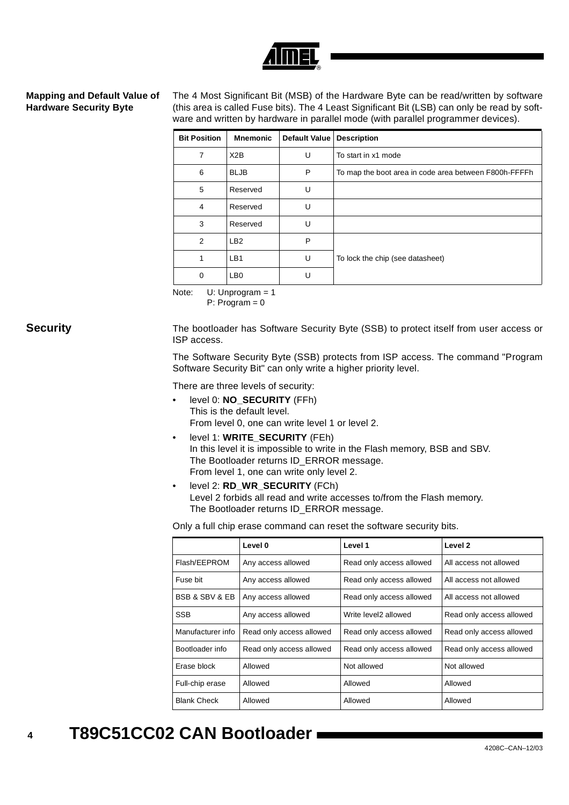### <span id="page-3-0"></span>**Mapping and Default Value of Hardware Security Byte**

The 4 Most Significant Bit (MSB) of the Hardware Byte can be read/written by software (this area is called Fuse bits). The 4 Least Significant Bit (LSB) can only be read by software and written by hardware in parallel mode (with parallel programmer devices).

| <b>Bit Position</b> | <b>Mnemonic</b> | <b>Default Value</b> | <b>Description</b>                                    |
|---------------------|-----------------|----------------------|-------------------------------------------------------|
| 7                   | X2B             | U                    | To start in x1 mode                                   |
| 6                   | <b>BLJB</b>     | P                    | To map the boot area in code area between F800h-FFFFh |
| 5                   | Reserved        | U                    |                                                       |
| $\overline{4}$      | Reserved        | U                    |                                                       |
| 3                   | Reserved        | U                    |                                                       |
| $\overline{2}$      | LB <sub>2</sub> | P                    |                                                       |
| 1                   | LB <sub>1</sub> | U                    | To lock the chip (see datasheet)                      |
| 0                   | LB <sub>0</sub> | U                    |                                                       |

Note: U: Unprogram = 1

P: Program = 0

<span id="page-3-1"></span>**Security** The bootloader has Software Security Byte (SSB) to protect itself from user access or ISP access.

> The Software Security Byte (SSB) protects from ISP access. The command "Program Software Security Bit" can only write a higher priority level.

There are three levels of security:

- level 0: **NO\_SECURITY** (FFh) This is the default level. From level 0, one can write level 1 or level 2.
- level 1: **WRITE\_SECURITY** (FEh) In this level it is impossible to write in the Flash memory, BSB and SBV. The Bootloader returns ID\_ERROR message. From level 1, one can write only level 2.
- level 2: **RD\_WR\_SECURITY** (FCh) Level 2 forbids all read and write accesses to/from the Flash memory. The Bootloader returns ID\_ERROR message.

Only a full chip erase command can reset the software security bits.

|                               | Level 0                  | Level 1                  | Level 2                  |
|-------------------------------|--------------------------|--------------------------|--------------------------|
| Flash/EEPROM                  | Any access allowed       | Read only access allowed | All access not allowed   |
| Fuse bit                      | Any access allowed       | Read only access allowed | All access not allowed   |
| <b>BSB &amp; SBV &amp; EB</b> | Any access allowed       | Read only access allowed | All access not allowed   |
| <b>SSB</b>                    | Any access allowed       | Write level2 allowed     | Read only access allowed |
| Manufacturer info             | Read only access allowed | Read only access allowed | Read only access allowed |
| Bootloader info               | Read only access allowed | Read only access allowed | Read only access allowed |
| Frase block                   | Allowed                  | Not allowed              | Not allowed              |
| Full-chip erase               | Allowed                  | Allowed                  | Allowed                  |
| <b>Blank Check</b>            | Allowed                  | Allowed                  | Allowed                  |

### **4 T89C51CC02 CAN Bootloader**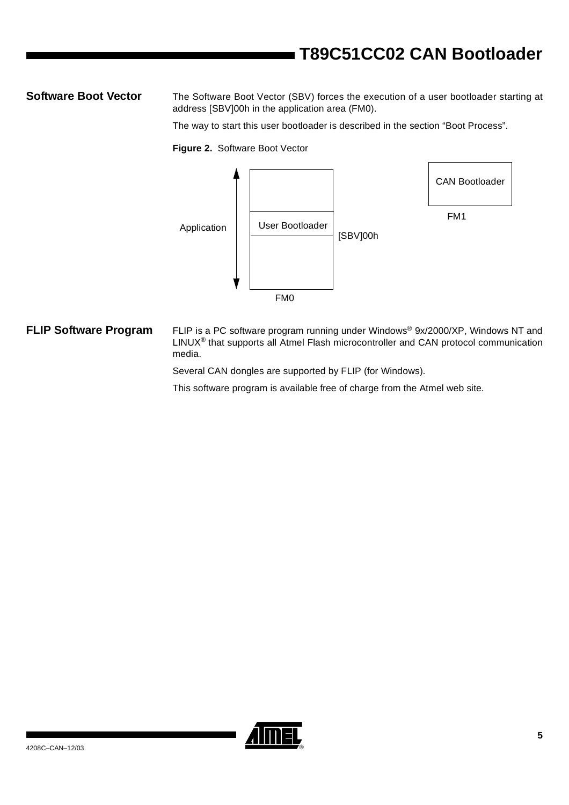<span id="page-4-0"></span>**Software Boot Vector** The Software Boot Vector (SBV) forces the execution of a user bootloader starting at address [SBV]00h in the application area (FM0).

The way to start this user bootloader is described in the section "Boot Process".

**Figure 2.** Software Boot Vector



<span id="page-4-1"></span>**FLIP Software Program** FLIP is a PC software program running under Windows® 9x/2000/XP, Windows NT and LINUX® that supports all Atmel Flash microcontroller and CAN protocol communication media.

Several CAN dongles are supported by FLIP (for Windows).

This software program is available free of charge from the Atmel web site.

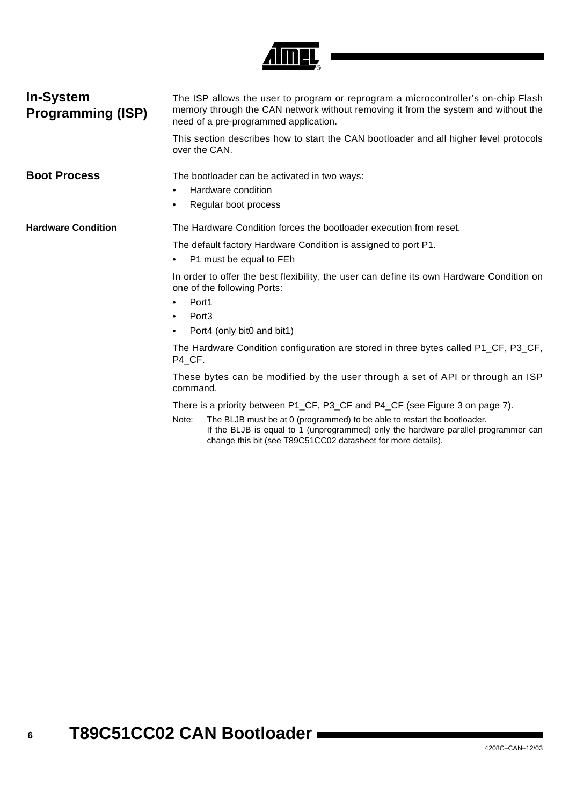

<span id="page-5-1"></span><span id="page-5-0"></span>

| <b>In-System</b><br><b>Programming (ISP)</b> | The ISP allows the user to program or reprogram a microcontroller's on-chip Flash<br>memory through the CAN network without removing it from the system and without the<br>need of a pre-programmed application.                        |  |  |  |  |
|----------------------------------------------|-----------------------------------------------------------------------------------------------------------------------------------------------------------------------------------------------------------------------------------------|--|--|--|--|
|                                              | This section describes how to start the CAN bootloader and all higher level protocols<br>over the CAN.                                                                                                                                  |  |  |  |  |
| <b>Boot Process</b>                          | The bootloader can be activated in two ways:                                                                                                                                                                                            |  |  |  |  |
|                                              | Hardware condition<br>٠                                                                                                                                                                                                                 |  |  |  |  |
|                                              | Regular boot process<br>٠                                                                                                                                                                                                               |  |  |  |  |
| <b>Hardware Condition</b>                    | The Hardware Condition forces the bootloader execution from reset.                                                                                                                                                                      |  |  |  |  |
|                                              | The default factory Hardware Condition is assigned to port P1.<br>P1 must be equal to FEh<br>٠                                                                                                                                          |  |  |  |  |
|                                              | In order to offer the best flexibility, the user can define its own Hardware Condition on<br>one of the following Ports:                                                                                                                |  |  |  |  |
|                                              | Port1<br>٠                                                                                                                                                                                                                              |  |  |  |  |
|                                              | Port <sub>3</sub><br>٠                                                                                                                                                                                                                  |  |  |  |  |
|                                              | Port4 (only bit0 and bit1)<br>٠                                                                                                                                                                                                         |  |  |  |  |
|                                              | The Hardware Condition configuration are stored in three bytes called P1_CF, P3_CF,<br>P4 CF.                                                                                                                                           |  |  |  |  |
|                                              | These bytes can be modified by the user through a set of API or through an ISP<br>command.                                                                                                                                              |  |  |  |  |
|                                              | There is a priority between P1_CF, P3_CF and P4_CF (see Figure 3 on page 7).                                                                                                                                                            |  |  |  |  |
|                                              | The BLJB must be at 0 (programmed) to be able to restart the bootloader.<br>Note:<br>If the BLJB is equal to 1 (unprogrammed) only the hardware parallel programmer can<br>change this bit (see T89C51CC02 datasheet for more details). |  |  |  |  |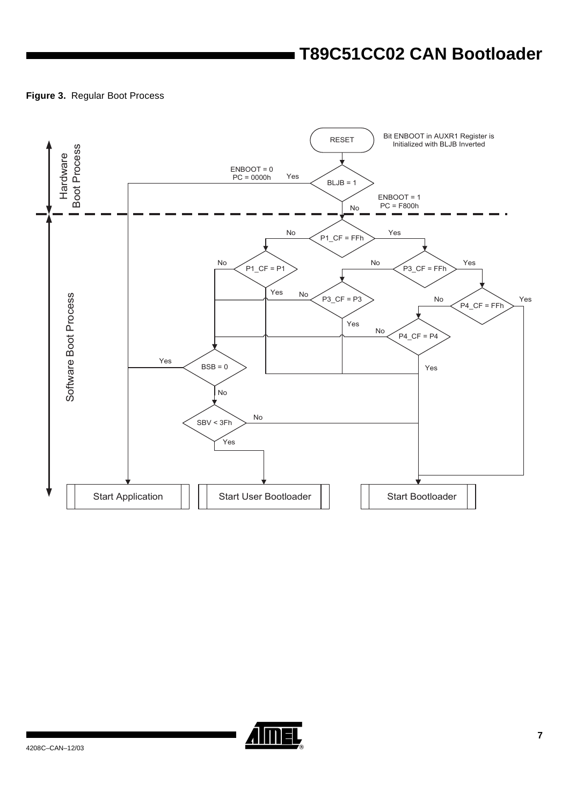### <span id="page-6-0"></span>**Figure 3.** Regular Boot Process



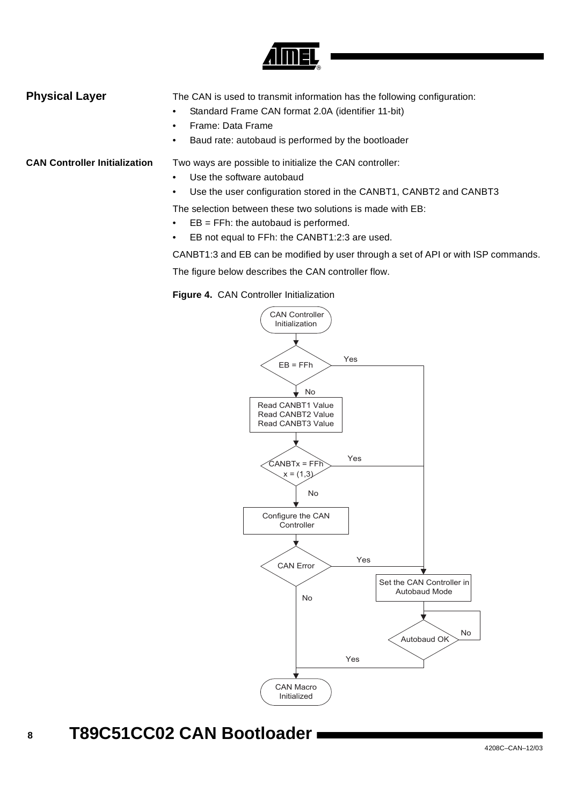

### <span id="page-7-0"></span>**Physical Layer** The CAN is used to transmit information has the following configuration: • Standard Frame CAN format 2.0A (identifier 11-bit)

- Frame: Data Frame
- Baud rate: autobaud is performed by the bootloader

**CAN Controller Initialization** Two ways are possible to initialize the CAN controller:

- Use the software autobaud
- Use the user configuration stored in the CANBT1, CANBT2 and CANBT3

The selection between these two solutions is made with EB:

- EB = FFh: the autobaud is performed.
- EB not equal to FFh: the CANBT1:2:3 are used.

CANBT1:3 and EB can be modified by user through a set of API or with ISP commands.

The figure below describes the CAN controller flow.

**Figure 4.** CAN Controller Initialization



### **8 T89C51CC02 CAN Bootloader**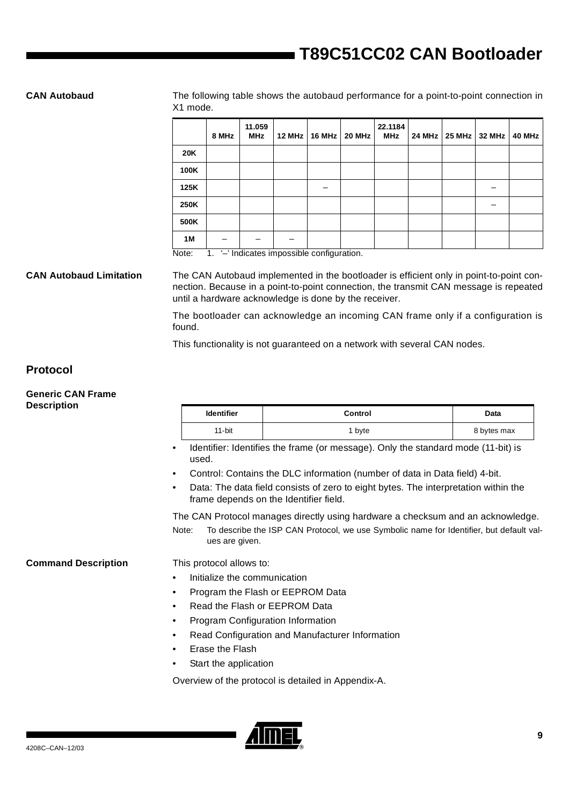**CAN Autobaud** The following table shows the autobaud performance for a point-to-point connection in X1 mode.

|            | 8 MHz | 11.059<br><b>MHz</b> | 12 MHz | 16 MHz | 20 MHz | 22.1184<br><b>MHz</b> | 24 MHz | 25 MHz 32 MHz | 40 MHz |
|------------|-------|----------------------|--------|--------|--------|-----------------------|--------|---------------|--------|
| <b>20K</b> |       |                      |        |        |        |                       |        |               |        |
| 100K       |       |                      |        |        |        |                       |        |               |        |
| 125K       |       |                      |        | –      |        |                       |        |               |        |
| 250K       |       |                      |        |        |        |                       |        |               |        |
| 500K       |       |                      |        |        |        |                       |        |               |        |
| 1M         |       |                      |        |        |        |                       |        |               |        |

Note: 1. '-' Indicates impossible configuration.

**CAN Autobaud Limitation** The CAN Autobaud implemented in the bootloader is efficient only in point-to-point connection. Because in a point-to-point connection, the transmit CAN message is repeated until a hardware acknowledge is done by the receiver.

> The bootloader can acknowledge an incoming CAN frame only if a configuration is found.

This functionality is not guaranteed on a network with several CAN nodes.

### <span id="page-8-0"></span>**Protocol**

### **Generic CAN Frame Description**

|                            |                                                                                                                                            | <b>Identifier</b><br>Control                                                    |                                                                                   | Data        |  |  |
|----------------------------|--------------------------------------------------------------------------------------------------------------------------------------------|---------------------------------------------------------------------------------|-----------------------------------------------------------------------------------|-------------|--|--|
|                            |                                                                                                                                            | 11-bit                                                                          | 1 byte                                                                            | 8 bytes max |  |  |
|                            | used.                                                                                                                                      |                                                                                 | Identifier: Identifies the frame (or message). Only the standard mode (11-bit) is |             |  |  |
|                            | Control: Contains the DLC information (number of data in Data field) 4-bit.<br>٠                                                           |                                                                                 |                                                                                   |             |  |  |
|                            | Data: The data field consists of zero to eight bytes. The interpretation within the<br>$\bullet$<br>frame depends on the Identifier field. |                                                                                 |                                                                                   |             |  |  |
|                            |                                                                                                                                            | The CAN Protocol manages directly using hardware a checksum and an acknowledge. |                                                                                   |             |  |  |
|                            | To describe the ISP CAN Protocol, we use Symbolic name for Identifier, but default val-<br>Note:<br>ues are given.                         |                                                                                 |                                                                                   |             |  |  |
| <b>Command Description</b> |                                                                                                                                            | This protocol allows to:                                                        |                                                                                   |             |  |  |
|                            | Initialize the communication                                                                                                               |                                                                                 |                                                                                   |             |  |  |

- Program the Flash or EEPROM Data
- Read the Flash or EEPROM Data
- Program Configuration Information
- Read Configuration and Manufacturer Information
- Erase the Flash
- Start the application

Overview of the protocol is detailed in Appendix-A.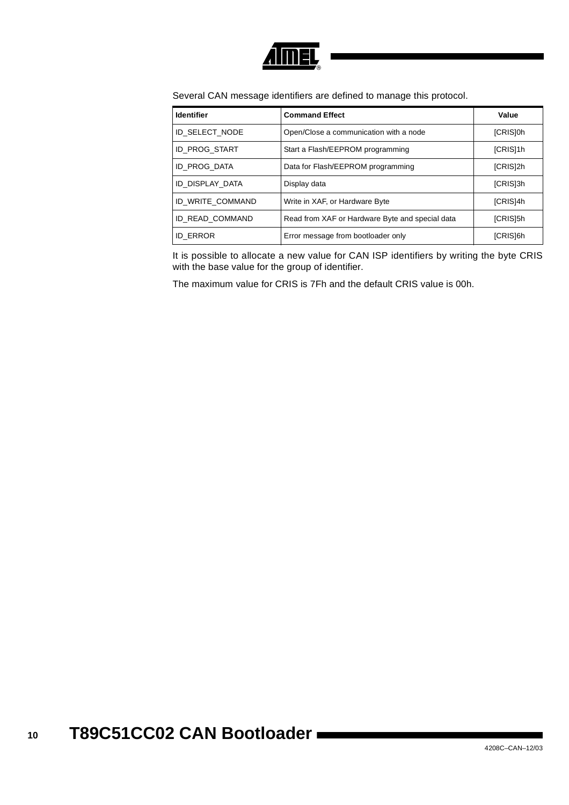

Several CAN message identifiers are defined to manage this protocol.

| <b>Identifier</b>   | <b>Command Effect</b>                           | Value           |
|---------------------|-------------------------------------------------|-----------------|
| ID SELECT NODE      | Open/Close a communication with a node          | [CRIS]0h        |
| ID PROG_START       | Start a Flash/EEPROM programming                | [CRIS]1h        |
| <b>ID PROG DATA</b> | Data for Flash/EEPROM programming               | [CRIS]2h        |
| ID DISPLAY DATA     | Display data                                    | [CRIS]3h        |
| ID WRITE COMMAND    | Write in XAF, or Hardware Byte                  | <b>ICRIS14h</b> |
| ID READ_COMMAND     | Read from XAF or Hardware Byte and special data | [CRIS]5h        |
| <b>ID ERROR</b>     | Error message from bootloader only              | [CRIS]6h        |

It is possible to allocate a new value for CAN ISP identifiers by writing the byte CRIS with the base value for the group of identifier.

The maximum value for CRIS is 7Fh and the default CRIS value is 00h.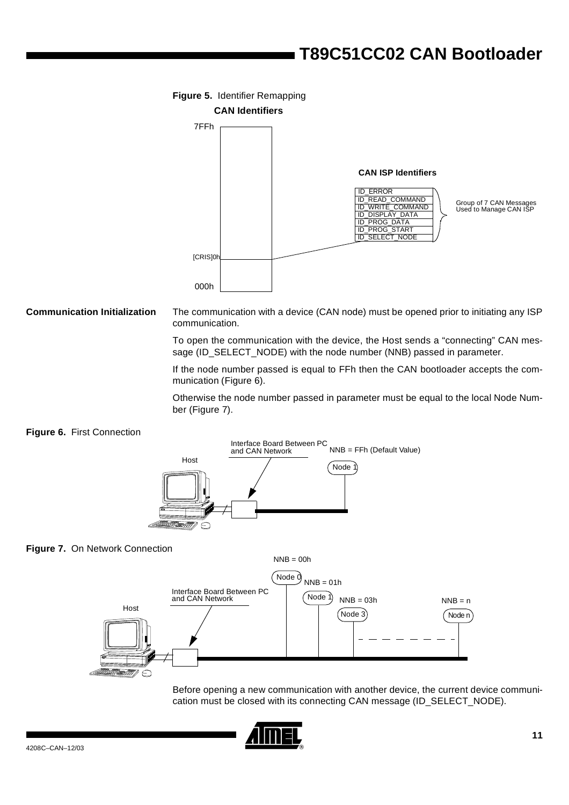

**Communication Initialization** The communication with a device (CAN node) must be opened prior to initiating any ISP communication.

> To open the communication with the device, the Host sends a "connecting" CAN message (ID\_SELECT\_NODE) with the node number (NNB) passed in parameter.

> If the node number passed is equal to FFh then the CAN bootloader accepts the communication ([Figure 6\)](#page-10-0).

> Otherwise the node number passed in parameter must be equal to the local Node Number [\(Figure 7\)](#page-10-1).

### <span id="page-10-0"></span>**Figure 6.** First Connection



### <span id="page-10-1"></span>**Figure 7.** On Network Connection



Before opening a new communication with another device, the current device communication must be closed with its connecting CAN message (ID\_SELECT\_NODE).

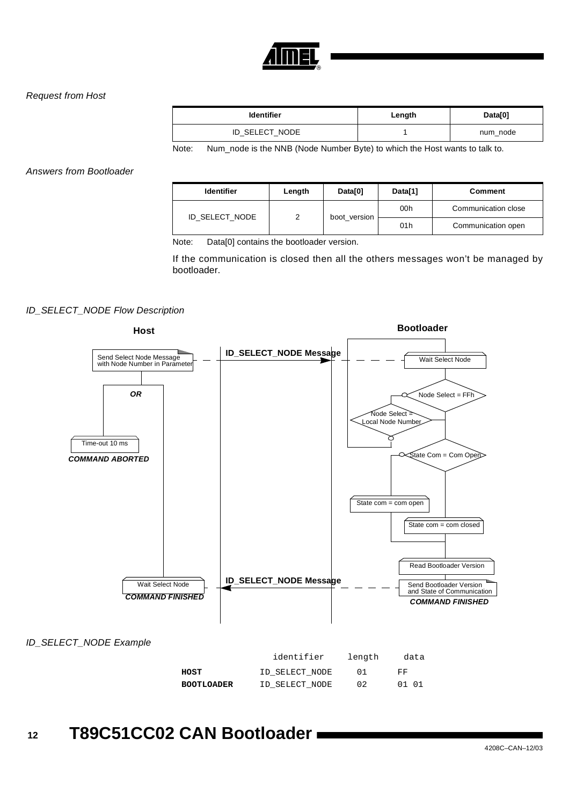

### Request from Host

| <b>Identifier</b> | Length | Data[0]  |
|-------------------|--------|----------|
| ID SELECT NODE    |        | num node |

Note: Num\_node is the NNB (Node Number Byte) to which the Host wants to talk to.

Answers from Bootloader

| <b>Identifier</b> | Length         | Data[0]      | Data[1]         | Comment             |
|-------------------|----------------|--------------|-----------------|---------------------|
|                   |                | boot version | 00h             | Communication close |
|                   | ID SELECT NODE |              | 01 <sub>h</sub> | Communication open  |

Note: Data[0] contains the bootloader version.

If the communication is closed then all the others messages won't be managed by bootloader.

### ID\_SELECT\_NODE Flow Description



### ID\_SELECT\_NODE Example

|                   | identifier     | length | data  |
|-------------------|----------------|--------|-------|
| HOST              | ID SELECT NODE |        | FF    |
| <b>BOOTLOADER</b> | ID SELECT NODE | 02     | 01 01 |

### **12 T89C51CC02 CAN Bootloader**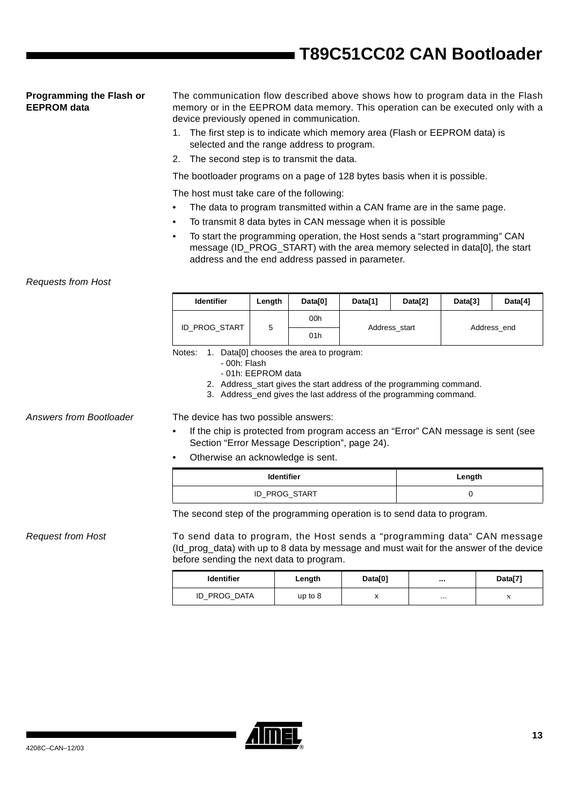### **Programming the Flash or EEPROM data**

The communication flow described above shows how to program data in the Flash memory or in the EEPROM data memory. This operation can be executed only with a device previously opened in communication.

- 1. The first step is to indicate which memory area (Flash or EEPROM data) is selected and the range address to program.
- 2. The second step is to transmit the data.

The bootloader programs on a page of 128 bytes basis when it is possible.

The host must take care of the following:

- The data to program transmitted within a CAN frame are in the same page.
- To transmit 8 data bytes in CAN message when it is possible
- To start the programming operation, the Host sends a "start programming" CAN message (ID\_PROG\_START) with the area memory selected in data[0], the start address and the end address passed in parameter.

### Requests from Host

| <b>Identifier</b> | Length | Data[0]            | Data[1]       | Data[2] |  | Data[4] |
|-------------------|--------|--------------------|---------------|---------|--|---------|
| ID PROG START     | 5      | 00h<br>Address end |               |         |  |         |
|                   |        | 01h                | Address start |         |  |         |

Notes: 1. Data[0] chooses the area to program:

- 00h: Flash
- 01h: EEPROM data
- 2. Address start gives the start address of the programming command.
- 3. Address\_end gives the last address of the programming command.

Answers from Bootloader The device has two possible answers:

- If the chip is protected from program access an "Error" CAN message is sent (see [Section "Error Message Description", page 24](#page-23-0)).
- Otherwise an acknowledge is sent.

| <b>Identifier</b> | Length |  |  |  |
|-------------------|--------|--|--|--|
| ID_PROG_START     |        |  |  |  |

The second step of the programming operation is to send data to program.

Request from Host To send data to program, the Host sends a "programming data" CAN message (Id\_prog\_data) with up to 8 data by message and must wait for the answer of the device before sending the next data to program.

| <b>Identifier</b> | Length    | Data[0]   |          | Data[7] |
|-------------------|-----------|-----------|----------|---------|
| ID PROG DATA      | up to $8$ | $\lambda$ | $\cdots$ | 77      |

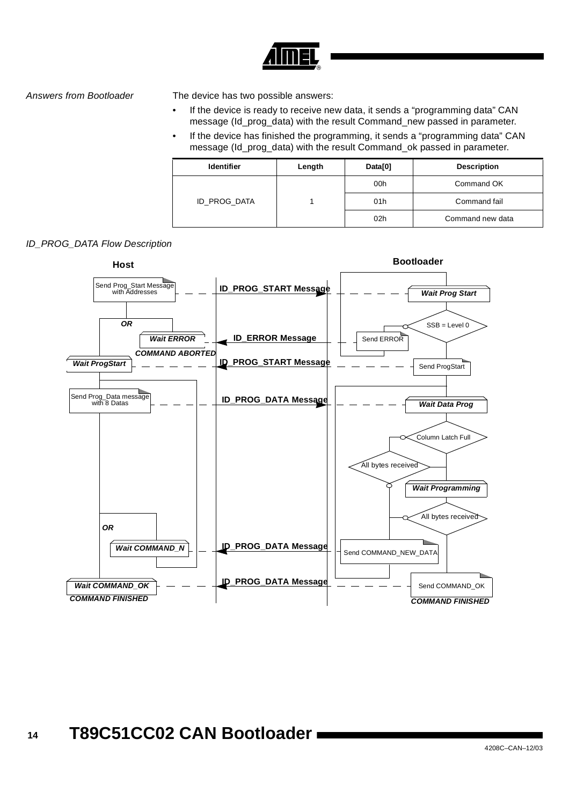

Answers from Bootloader The device has two possible answers:

- If the device is ready to receive new data, it sends a "programming data" CAN message (Id\_prog\_data) with the result Command\_new passed in parameter.
- If the device has finished the programming, it sends a "programming data" CAN message (Id\_prog\_data) with the result Command\_ok passed in parameter.

| <b>Identifier</b> | Length | Data[0] | <b>Description</b> |
|-------------------|--------|---------|--------------------|
|                   |        | 00h     | Command OK         |
| ID_PROG_DATA      |        | 01h     | Command fail       |
|                   |        | 02h     | Command new data   |

### ID\_PROG\_DATA Flow Description

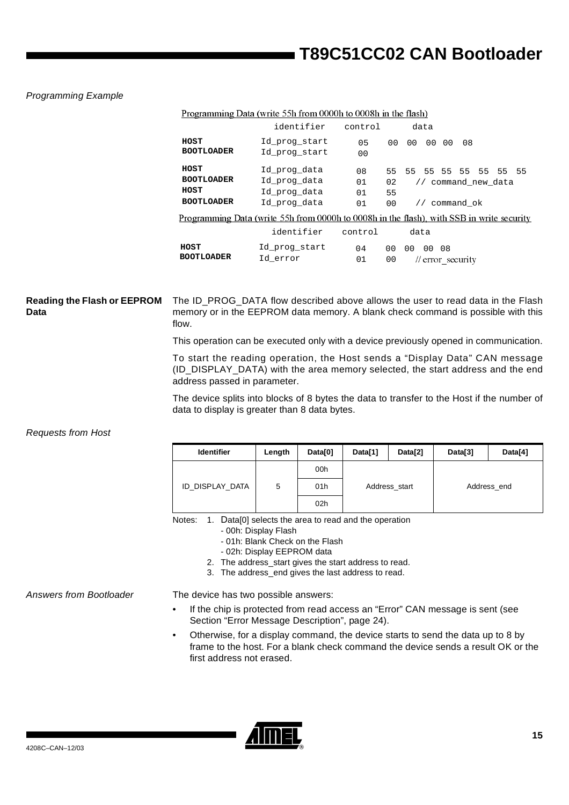### Programming Example

|                                                        | <u>Flogiamming Data (write JJHTIOM 000011 to 000811 in the Hash)</u>                             |                       |                                   |                                                                   |      |    |  |  |
|--------------------------------------------------------|--------------------------------------------------------------------------------------------------|-----------------------|-----------------------------------|-------------------------------------------------------------------|------|----|--|--|
|                                                        | identifier                                                                                       | control               |                                   | data                                                              |      |    |  |  |
| HOST<br><b>BOOTLOADER</b>                              | Id prog start<br>Id prog_start                                                                   | 0.5<br>0 <sub>0</sub> | 0 <sub>0</sub>                    | 0 <sub>0</sub><br>0 <sub>0</sub>                                  | 00   | 08 |  |  |
| HOST<br><b>BOOTLOADER</b><br>HOST<br><b>BOOTLOADER</b> | Id prog data<br>Id prog data<br>Id prog data<br>Id prog data                                     | 08<br>01<br>01<br>01  | 55.<br>02<br>55<br>0 <sub>0</sub> | 55 55 55 55 55 55 55<br>// command new data<br>// command ok      |      |    |  |  |
|                                                        | <u>Programming Data (write 55h from 0000h to 0008h in the flash), with SSB in write security</u> |                       |                                   |                                                                   |      |    |  |  |
|                                                        | identifier                                                                                       | control               |                                   | data                                                              |      |    |  |  |
| HOST<br><b>BOOTLOADER</b>                              | Id prog start<br>Id error                                                                        | 04<br>01              | 0 <sub>0</sub><br>00              | 0 <sub>0</sub><br>00 <sup>o</sup><br>$\frac{1}{2}$ error security | - 08 |    |  |  |

Programming Data (write 55h from 0000h to 0008h in the flash)

### **Reading the Flash or EEPROM Data** The ID\_PROG\_DATA flow described above allows the user to read data in the Flash memory or in the EEPROM data memory. A blank check command is possible with this flow.

This operation can be executed only with a device previously opened in communication.

To start the reading operation, the Host sends a "Display Data" CAN message (ID\_DISPLAY\_DATA) with the area memory selected, the start address and the end address passed in parameter.

The device splits into blocks of 8 bytes the data to transfer to the Host if the number of data to display is greater than 8 data bytes.

### Requests from Host

| <b>Identifier</b> | Length | Data[0]         | Data[1]                      | Data[2] | Data[3] | Data[4] |
|-------------------|--------|-----------------|------------------------------|---------|---------|---------|
|                   |        | 00h             |                              |         |         |         |
| ID_DISPLAY_DATA   | 5      | 01h             | Address_start<br>Address_end |         |         |         |
|                   |        | 02 <sub>h</sub> |                              |         |         |         |

Notes: 1. Data[0] selects the area to read and the operation

- 00h: Display Flash
- 01h: Blank Check on the Flash
- 02h: Display EEPROM data
- 2. The address\_start gives the start address to read.
- 3. The address\_end gives the last address to read.

Answers from Bootloader The device has two possible answers:

- If the chip is protected from read access an "Error" CAN message is sent (see [Section "Error Message Description", page 24](#page-23-0)).
- Otherwise, for a display command, the device starts to send the data up to 8 by frame to the host. For a blank check command the device sends a result OK or the first address not erased.

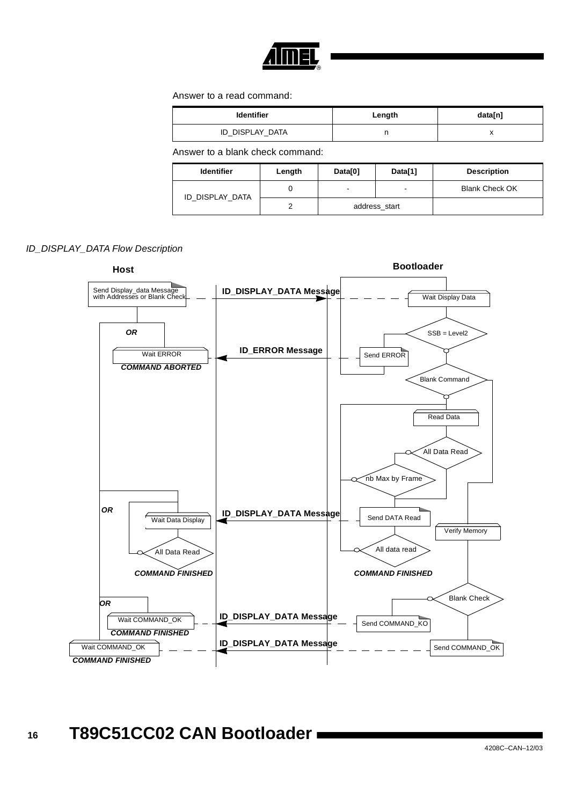

Answer to a read command:

| <b>Identifier</b> | Length | data[n] |
|-------------------|--------|---------|
| ID_DISPLAY_DATA   |        | ,,      |

Answer to a blank check command:

| <b>Identifier</b> | Length | Data[0] | Data[1]       | <b>Description</b>    |
|-------------------|--------|---------|---------------|-----------------------|
| ID DISPLAY DATA   |        | -       |               | <b>Blank Check OK</b> |
|                   |        |         | address start |                       |



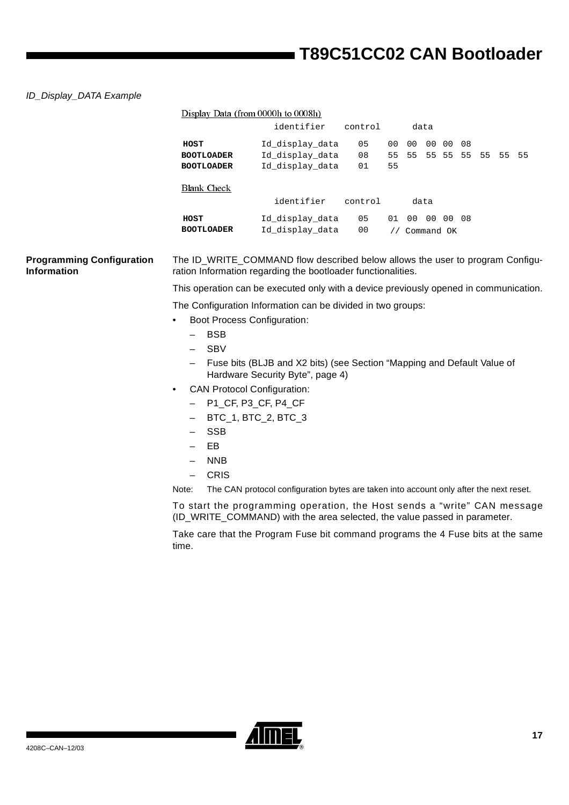### ID\_Display\_DATA Example

|                                                        |                                                | Display Data (from 0000h to 0008h)                                                                                                                    |                |                |          |                            |    |  |  |
|--------------------------------------------------------|------------------------------------------------|-------------------------------------------------------------------------------------------------------------------------------------------------------|----------------|----------------|----------|----------------------------|----|--|--|
|                                                        |                                                | identifier                                                                                                                                            | control        |                | data     |                            |    |  |  |
|                                                        | HOST<br><b>BOOTLOADER</b><br><b>BOOTLOADER</b> | Id_display_data<br>Id_display_data<br>Id_display_data                                                                                                 | 05<br>08<br>01 | 00<br>55<br>55 | 00<br>55 | 00 00<br>55 55 55 55 55 55 | 08 |  |  |
|                                                        | <b>Blank Check</b>                             |                                                                                                                                                       |                |                |          |                            |    |  |  |
|                                                        |                                                | identifier                                                                                                                                            | control        |                | data     |                            |    |  |  |
|                                                        | HOST                                           | Id_display_data                                                                                                                                       | 05             |                |          | 01 00 00 00 08             |    |  |  |
|                                                        | <b>BOOTLOADER</b>                              | Id_display_data                                                                                                                                       | 00             |                |          | // Command OK              |    |  |  |
| <b>Programming Configuration</b><br><b>Information</b> |                                                | The ID_WRITE_COMMAND flow described below allows the user to program Configu-<br>ration Information regarding the bootloader functionalities.         |                |                |          |                            |    |  |  |
|                                                        |                                                | This operation can be executed only with a device previously opened in communication.                                                                 |                |                |          |                            |    |  |  |
|                                                        |                                                | The Configuration Information can be divided in two groups:                                                                                           |                |                |          |                            |    |  |  |
|                                                        | <b>Boot Process Configuration:</b>             |                                                                                                                                                       |                |                |          |                            |    |  |  |
|                                                        | <b>BSB</b>                                     |                                                                                                                                                       |                |                |          |                            |    |  |  |
|                                                        | <b>SBV</b><br>$\overline{\phantom{0}}$         |                                                                                                                                                       |                |                |          |                            |    |  |  |
|                                                        |                                                | Fuse bits (BLJB and X2 bits) (see Section "Mapping and Default Value of<br>Hardware Security Byte", page 4)                                           |                |                |          |                            |    |  |  |
|                                                        | <b>CAN Protocol Configuration:</b>             |                                                                                                                                                       |                |                |          |                            |    |  |  |
|                                                        |                                                | P1_CF, P3_CF, P4_CF                                                                                                                                   |                |                |          |                            |    |  |  |
|                                                        |                                                | BTC_1, BTC_2, BTC_3                                                                                                                                   |                |                |          |                            |    |  |  |
|                                                        | <b>SSB</b>                                     |                                                                                                                                                       |                |                |          |                            |    |  |  |
|                                                        | EB                                             |                                                                                                                                                       |                |                |          |                            |    |  |  |
|                                                        | <b>NNB</b><br>$\qquad \qquad -$                |                                                                                                                                                       |                |                |          |                            |    |  |  |
|                                                        | <b>CRIS</b><br>$\qquad \qquad -$               |                                                                                                                                                       |                |                |          |                            |    |  |  |
|                                                        | Note:                                          | The CAN protocol configuration bytes are taken into account only after the next reset.                                                                |                |                |          |                            |    |  |  |
|                                                        |                                                | To start the programming operation, the Host sends a "write" CAN message<br>(ID_WRITE_COMMAND) with the area selected, the value passed in parameter. |                |                |          |                            |    |  |  |
|                                                        | time.                                          | Take care that the Program Fuse bit command programs the 4 Fuse bits at the same                                                                      |                |                |          |                            |    |  |  |



▊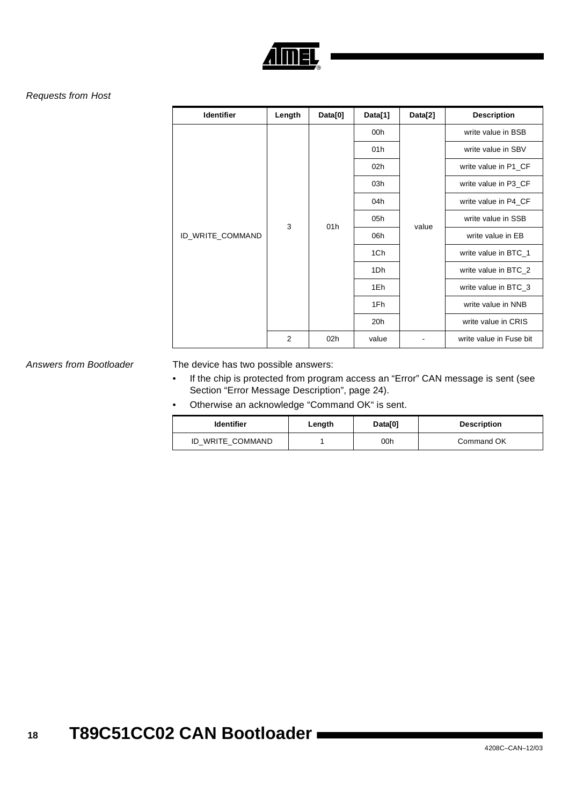

### Requests from Host

| Identifier       | Length | Data[0] | Data[1] | Data[2] | <b>Description</b>      |                   |  |     |  |                    |
|------------------|--------|---------|---------|---------|-------------------------|-------------------|--|-----|--|--------------------|
|                  |        |         | 00h     |         | write value in BSB      |                   |  |     |  |                    |
|                  |        |         | 01h     |         | write value in SBV      |                   |  |     |  |                    |
|                  |        |         | 02h     |         | write value in P1_CF    |                   |  |     |  |                    |
|                  |        |         | 03h     |         | write value in P3_CF    |                   |  |     |  |                    |
|                  | 3      | 01h     | 04h     |         | write value in P4_CF    |                   |  |     |  |                    |
|                  |        |         | 05h     | value   | write value in SSB      |                   |  |     |  |                    |
| ID_WRITE_COMMAND |        |         |         | 06h     |                         | write value in EB |  |     |  |                    |
|                  |        |         | 1Ch     |         | write value in BTC_1    |                   |  |     |  |                    |
|                  |        |         | 1Dh     |         | write value in BTC_2    |                   |  |     |  |                    |
|                  |        |         | 1Eh     |         | write value in BTC_3    |                   |  |     |  |                    |
|                  |        |         |         |         |                         |                   |  | 1Fh |  | write value in NNB |
|                  |        |         | 20h     |         | write value in CRIS     |                   |  |     |  |                    |
|                  | 2      | 02h     | value   |         | write value in Fuse bit |                   |  |     |  |                    |

Answers from Bootloader The device has two possible answers:

- If the chip is protected from program access an "Error" CAN message is sent (see [Section "Error Message Description", page 24](#page-23-0)).
- Otherwise an acknowledge "Command OK" is sent.

| <b>Identifier</b> | Length | Data[0] | <b>Description</b> |
|-------------------|--------|---------|--------------------|
| ID WRITE COMMAND  |        | 00h     | Command OK         |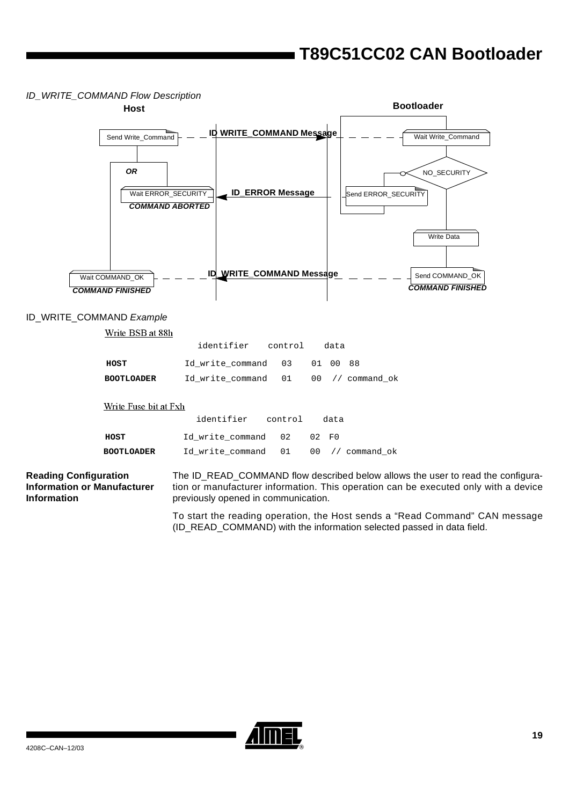### ID\_WRITE\_COMMAND Flow Description



### ID\_WRITE\_COMMAND Example

Write BSB at 88h

|                   | identifier control                   |  | data |  |
|-------------------|--------------------------------------|--|------|--|
| HOST              | Id write command 03 01 00 88         |  |      |  |
| <b>BOOTLOADER</b> | Id write command 01 00 // command ok |  |      |  |

### Write Fuse bit at Fxh

|                   | identifier control                   |       | data |  |
|-------------------|--------------------------------------|-------|------|--|
| HOST              | Id write command 02                  | 02 FO |      |  |
| <b>BOOTLOADER</b> | Id write command 01 00 // command ok |       |      |  |

### **Reading Configuration Information or Manufacturer Information**

The ID\_READ\_COMMAND flow described below allows the user to read the configuration or manufacturer information. This operation can be executed only with a device previously opened in communication.

To start the reading operation, the Host sends a "Read Command" CAN message (ID\_READ\_COMMAND) with the information selected passed in data field.

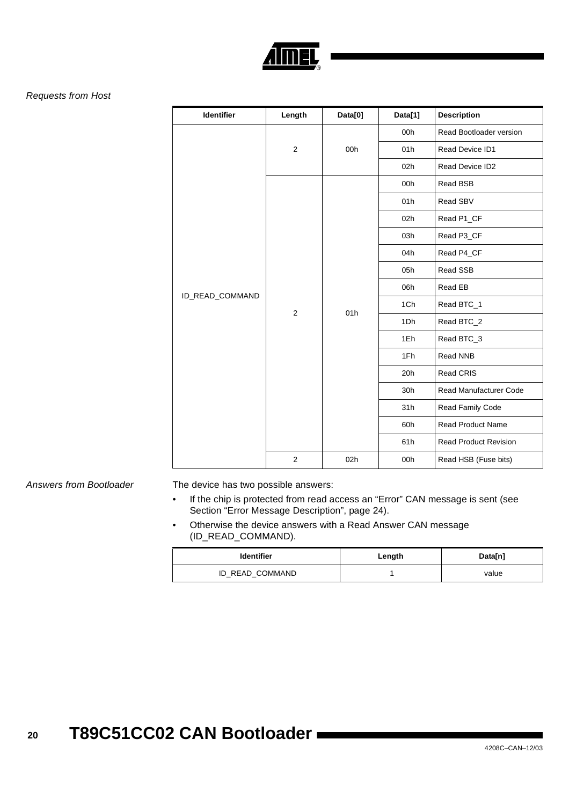

### Requests from Host

| <b>Identifier</b> | Length         | Data[0] | Data[1] | <b>Description</b>           |
|-------------------|----------------|---------|---------|------------------------------|
|                   |                | 00h     | 00h     | Read Bootloader version      |
|                   | $\overline{2}$ |         | 01h     | Read Device ID1              |
|                   |                |         | 02h     | Read Device ID2              |
|                   |                |         | 00h     | Read BSB                     |
|                   |                |         | 01h     | Read SBV                     |
|                   |                |         | 02h     | Read P1_CF                   |
|                   |                |         | 03h     | Read P3_CF                   |
|                   | $\mathbf 2$    | 01h     | 04h     | Read P4 CF                   |
|                   |                |         | 05h     | Read SSB                     |
| ID_READ_COMMAND   |                |         | 06h     | Read EB                      |
|                   |                |         | 1Ch     | Read BTC_1                   |
|                   |                |         | 1Dh     | Read BTC_2                   |
|                   |                |         | 1Eh     | Read BTC_3                   |
|                   |                |         | 1Fh     | Read NNB                     |
|                   |                |         | 20h     | <b>Read CRIS</b>             |
|                   |                |         | 30h     | Read Manufacturer Code       |
|                   |                |         | 31h     | Read Family Code             |
|                   |                |         | 60h     | <b>Read Product Name</b>     |
|                   |                |         | 61h     | <b>Read Product Revision</b> |
|                   | $\overline{c}$ | 02h     | 00h     | Read HSB (Fuse bits)         |

Answers from Bootloader The device has two possible answers:

- If the chip is protected from read access an "Error" CAN message is sent (see [Section "Error Message Description", page 24](#page-23-0)).
- Otherwise the device answers with a Read Answer CAN message (ID\_READ\_COMMAND).

| <b>Identifier</b> | Length | Data[n] |
|-------------------|--------|---------|
| ID_READ_COMMAND   |        | value   |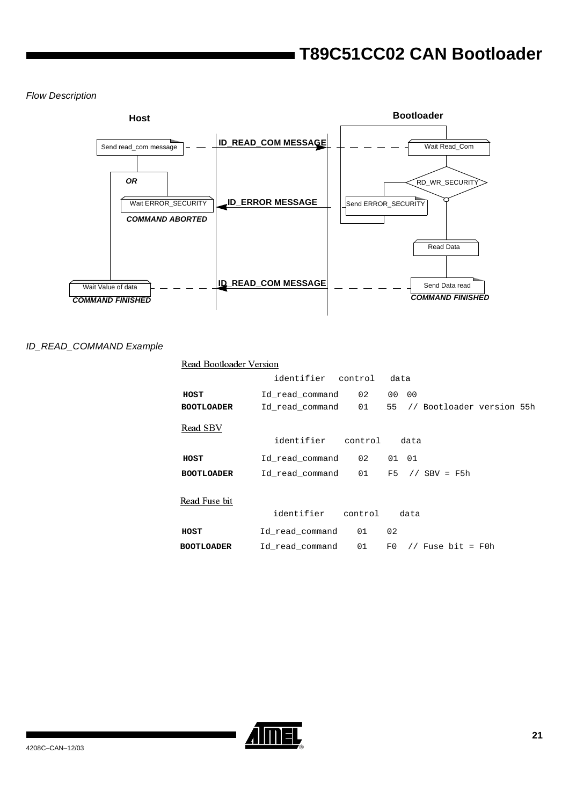Flow Description



### ID\_READ\_COMMAND Example

| Read Bootloader Version |    |                                                                                                                                                                                  |                                                  |                                                     |
|-------------------------|----|----------------------------------------------------------------------------------------------------------------------------------------------------------------------------------|--------------------------------------------------|-----------------------------------------------------|
|                         |    | data                                                                                                                                                                             |                                                  |                                                     |
|                         | 02 |                                                                                                                                                                                  |                                                  |                                                     |
|                         | 01 |                                                                                                                                                                                  |                                                  |                                                     |
|                         |    |                                                                                                                                                                                  |                                                  |                                                     |
|                         |    |                                                                                                                                                                                  |                                                  |                                                     |
|                         | 02 |                                                                                                                                                                                  |                                                  |                                                     |
|                         | 01 | F5                                                                                                                                                                               |                                                  |                                                     |
|                         |    |                                                                                                                                                                                  |                                                  |                                                     |
|                         |    |                                                                                                                                                                                  |                                                  |                                                     |
|                         | 01 | 02                                                                                                                                                                               |                                                  |                                                     |
|                         | 01 | F0                                                                                                                                                                               |                                                  |                                                     |
|                         |    | identifier control<br>Id read command<br>Id_read_command<br>identifier control<br>Id read command<br>Id read command<br>identifier control<br>Id read command<br>Id read command | 00 00<br>data<br>01 01<br>// SBV = $F5h$<br>data | 55 // Bootloader version 55h<br>// Fuse bit = $F0h$ |

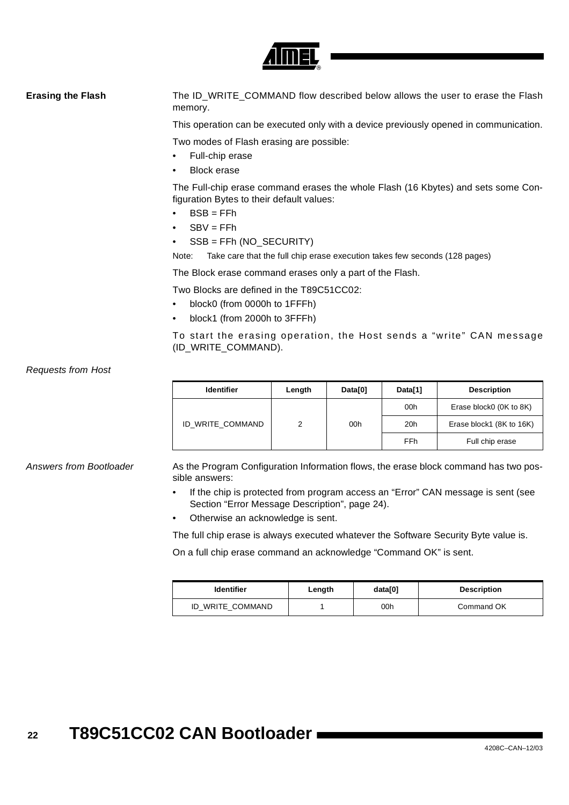

**Erasing the Flash** The ID\_WRITE\_COMMAND flow described below allows the user to erase the Flash memory.

This operation can be executed only with a device previously opened in communication.

Two modes of Flash erasing are possible:

- Full-chip erase
- **Block erase**

The Full-chip erase command erases the whole Flash (16 Kbytes) and sets some Configuration Bytes to their default values:

- $BSB = FFh$
- $SBV = FFh$
- SSB = FFh (NO\_SECURITY)

Note: Take care that the full chip erase execution takes few seconds (128 pages)

The Block erase command erases only a part of the Flash.

Two Blocks are defined in the T89C51CC02:

- block0 (from 0000h to 1FFFh)
- block1 (from 2000h to 3FFFh)

To start the erasing operation, the Host sends a "write" CAN message (ID\_WRITE\_COMMAND).

Requests from Host

| <b>Identifier</b> | Length | Data[0] | Data[1] | <b>Description</b>       |
|-------------------|--------|---------|---------|--------------------------|
|                   | っ      | 00h     | 00h     | Erase block0 (0K to 8K)  |
| ID_WRITE_COMMAND  |        |         | 20h     | Erase block1 (8K to 16K) |
|                   |        |         | FFh     | Full chip erase          |

Answers from Bootloader As the Program Configuration Information flows, the erase block command has two possible answers:

- If the chip is protected from program access an "Error" CAN message is sent (see [Section "Error Message Description", page 24](#page-23-0)).
- Otherwise an acknowledge is sent.

The full chip erase is always executed whatever the Software Security Byte value is.

On a full chip erase command an acknowledge "Command OK" is sent.

| <b>Identifier</b> | Length | data[0] | <b>Description</b> |
|-------------------|--------|---------|--------------------|
| ID WRITE COMMAND  |        | 00h     | Command OK         |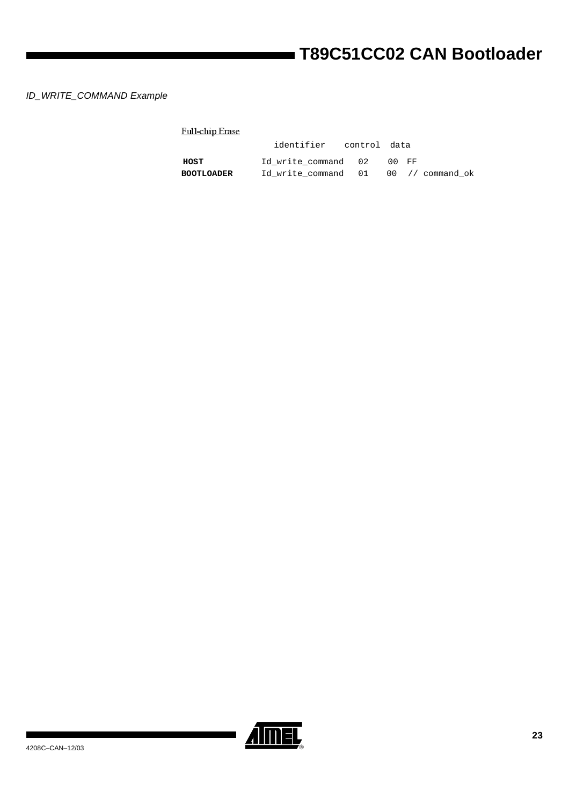### ID\_WRITE\_COMMAND Example

| Full-chip Erase |  |
|-----------------|--|
|                 |  |

|                   | identifier control data              |  |       |  |
|-------------------|--------------------------------------|--|-------|--|
| HOST              | Id write command 02                  |  | 00 FF |  |
| <b>BOOTLOADER</b> | Id write command 01 00 // command ok |  |       |  |

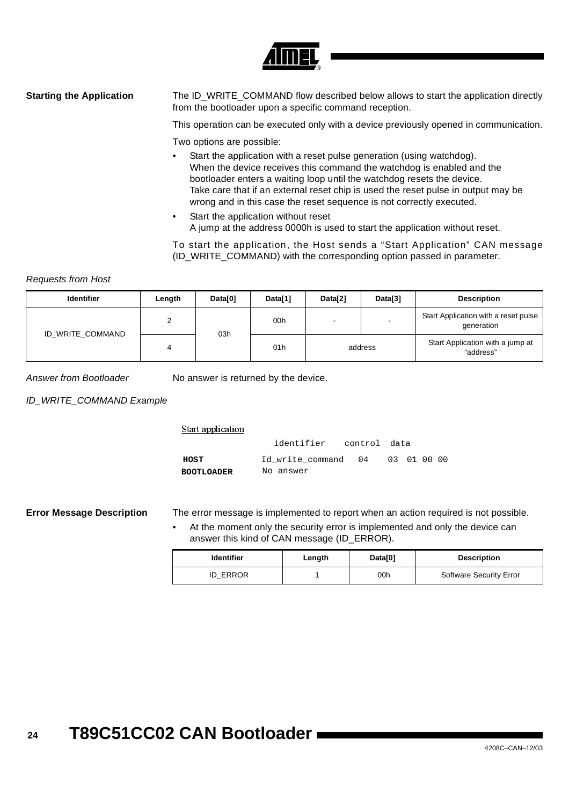

**Starting the Application** The ID\_WRITE\_COMMAND flow described below allows to start the application directly from the bootloader upon a specific command reception.

This operation can be executed only with a device previously opened in communication.

Two options are possible:

- Start the application with a reset pulse generation (using watchdog). When the device receives this command the watchdog is enabled and the bootloader enters a waiting loop until the watchdog resets the device. Take care that if an external reset chip is used the reset pulse in output may be wrong and in this case the reset sequence is not correctly executed.
- Start the application without reset A jump at the address 0000h is used to start the application without reset.

To start the application, the Host sends a "Start Application" CAN message (ID\_WRITE\_COMMAND) with the corresponding option passed in parameter.

### Requests from Host

| <b>Identifier</b> | Length | Data[0] | Data[1] | Data[2]                  | Data[3] | <b>Description</b>                                 |
|-------------------|--------|---------|---------|--------------------------|---------|----------------------------------------------------|
| ID_WRITE_COMMAND  |        |         | 00h     | $\overline{\phantom{a}}$ | -       | Start Application with a reset pulse<br>generation |
|                   | 4      | 03h     | 01h     |                          | address | Start Application with a jump at<br>"address"      |

Answer from Bootloader No answer is returned by the device.

ID\_WRITE\_COMMAND Example

**HOST** Id\_write\_command 04 03 01 00 00 **BOOTLOADER Start application** identifier control data No answer

<span id="page-23-0"></span>**Error Message Description** The error message is implemented to report when an action required is not possible.

At the moment only the security error is implemented and only the device can answer this kind of CAN message (ID\_ERROR).

| <b>Identifier</b> | Length | Data[0] | <b>Description</b>             |
|-------------------|--------|---------|--------------------------------|
| <b>ID ERROR</b>   |        | 00h     | <b>Software Security Error</b> |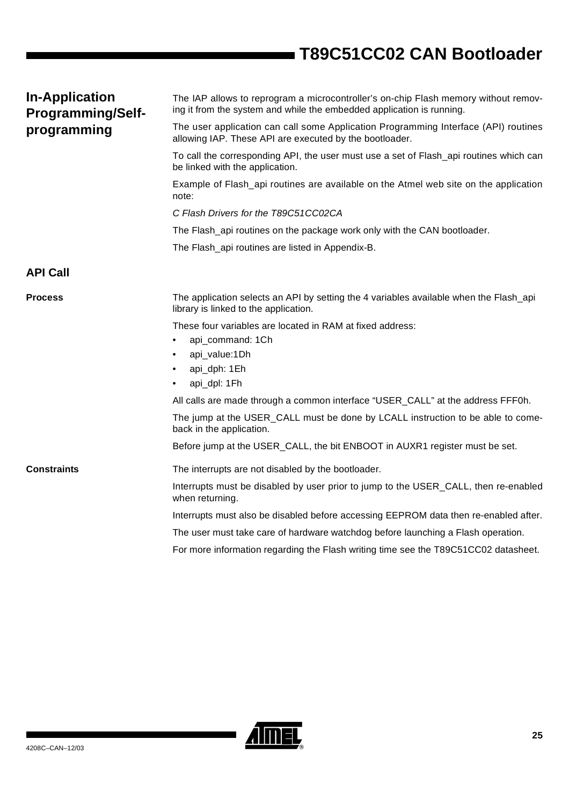<span id="page-24-1"></span><span id="page-24-0"></span>

| <b>In-Application</b><br><b>Programming/Self-</b> | The IAP allows to reprogram a microcontroller's on-chip Flash memory without remov-<br>ing it from the system and while the embedded application is running. |
|---------------------------------------------------|--------------------------------------------------------------------------------------------------------------------------------------------------------------|
| programming                                       | The user application can call some Application Programming Interface (API) routines<br>allowing IAP. These API are executed by the bootloader.               |
|                                                   | To call the corresponding API, the user must use a set of Flash_api routines which can<br>be linked with the application.                                    |
|                                                   | Example of Flash_api routines are available on the Atmel web site on the application<br>note:                                                                |
|                                                   | C Flash Drivers for the T89C51CC02CA                                                                                                                         |
|                                                   | The Flash_api routines on the package work only with the CAN bootloader.                                                                                     |
|                                                   | The Flash_api routines are listed in Appendix-B.                                                                                                             |
| <b>API Call</b>                                   |                                                                                                                                                              |
| <b>Process</b>                                    | The application selects an API by setting the 4 variables available when the Flash_api<br>library is linked to the application.                              |
|                                                   | These four variables are located in RAM at fixed address:                                                                                                    |
|                                                   | api_command: 1Ch                                                                                                                                             |
|                                                   | api_value:1Dh                                                                                                                                                |
|                                                   | api_dph: 1Eh                                                                                                                                                 |
|                                                   | api_dpl: 1Fh                                                                                                                                                 |
|                                                   | All calls are made through a common interface "USER_CALL" at the address FFF0h.                                                                              |
|                                                   | The jump at the USER_CALL must be done by LCALL instruction to be able to come-<br>back in the application.                                                  |
|                                                   | Before jump at the USER_CALL, the bit ENBOOT in AUXR1 register must be set.                                                                                  |
| <b>Constraints</b>                                | The interrupts are not disabled by the bootloader.                                                                                                           |
|                                                   | Interrupts must be disabled by user prior to jump to the USER_CALL, then re-enabled<br>when returning.                                                       |
|                                                   | Interrupts must also be disabled before accessing EEPROM data then re-enabled after.                                                                         |
|                                                   | The user must take care of hardware watchdog before launching a Flash operation.                                                                             |
|                                                   | For more information regarding the Flash writing time see the T89C51CC02 datasheet.                                                                          |

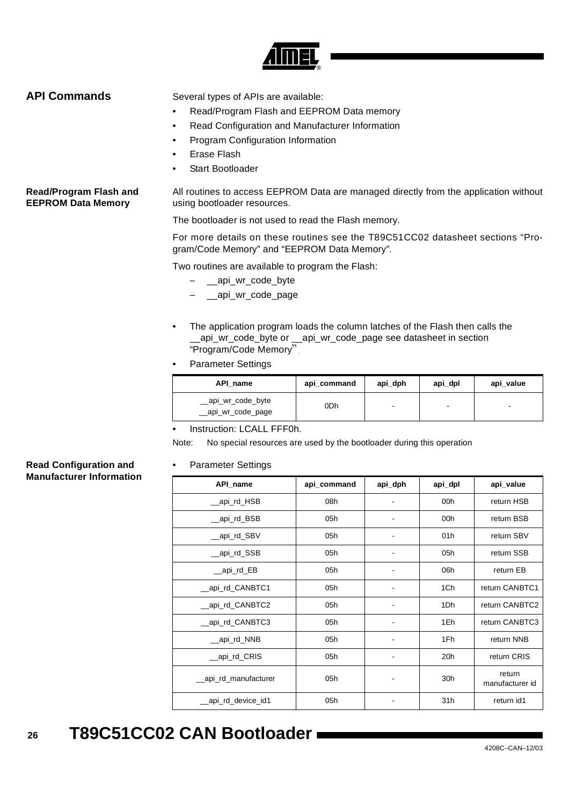

<span id="page-25-0"></span>**API Commands** Several types of APIs are available:

- Read/Program Flash and EEPROM Data memory
- Read Configuration and Manufacturer Information
- Program Configuration Information
- Erase Flash
- Start Bootloader

**Read/Program Flash and EEPROM Data Memory** All routines to access EEPROM Data are managed directly from the application without using bootloader resources.

The bootloader is not used to read the Flash memory.

For more details on these routines see the T89C51CC02 datasheet sections "Program/Code Memory" and "EEPROM Data Memory".

Two routines are available to program the Flash:

- \_\_api\_wr\_code\_byte
- \_\_api\_wr\_code\_page
- The application program loads the column latches of the Flash then calls the \_\_api\_wr\_code\_byte or \_\_api\_wr\_code\_page see datasheet in section "Program/Code Memory".
- Parameter Settings

| API name                                 | api_command | api_dph                  | api_dpl | api_value |
|------------------------------------------|-------------|--------------------------|---------|-----------|
| __api_wr_code_byte<br>__api_wr_code_page | 0Dh         | $\overline{\phantom{a}}$ | ۰       | -         |

Instruction: LCALL FFF0h.

Note: No special resources are used by the bootloader during this operation

### • Parameter Settings

### **Read Configuration and Manufacturer Information**

| API_name            | api_command | api_dph | api_dpl | api_value                 |
|---------------------|-------------|---------|---------|---------------------------|
| _api_rd_HSB         | 08h         |         | 00h     | return HSB                |
| _api_rd_BSB         | 05h         |         | 00h     | return BSB                |
| _api_rd_SBV         | 05h         |         | 01h     | return SBV                |
| __api_rd_SSB        | 05h         |         | 05h     | return SSB                |
| __api_rd_EB         | 05h         |         | 06h     | return EB                 |
| _api_rd_CANBTC1     | 05h         |         | 1Ch     | return CANBTC1            |
| api_rd_CANBTC2      | 05h         |         | 1Dh     | return CANBTC2            |
| _api_rd_CANBTC3     | 05h         |         | 1Eh     | return CANBTC3            |
| _api_rd_NNB         | 05h         |         | 1Fh     | return NNB                |
| _api_rd_CRIS        | 05h         |         | 20h     | return CRIS               |
| api_rd_manufacturer | 05h         |         | 30h     | return<br>manufacturer id |
| _api_rd_device_id1  | 05h         |         | 31h     | return id1                |

### **26 T89C51CC02 CAN Bootloader**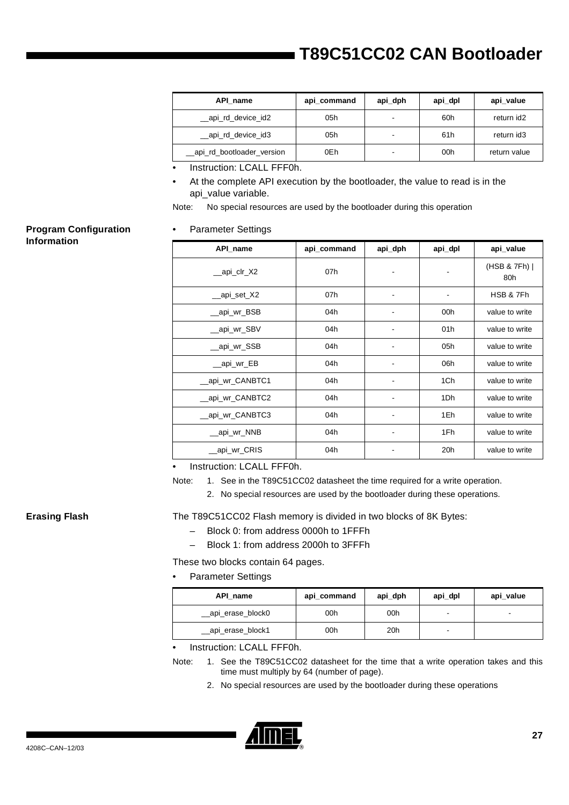| API name                   | api_command | api_dph                  | api_dpl | api_value    |
|----------------------------|-------------|--------------------------|---------|--------------|
| __api_rd_device_id2        | 05h         | $\overline{\phantom{a}}$ | 60h     | return id2   |
| __api_rd_device_id3        | 05h         | ۰                        | 61h     | return id3   |
| _api_rd_bootloader_version | 0Eh         | ۰                        | 00h     | return value |

Instruction: LCALL FFF0h.

• At the complete API execution by the bootloader, the value to read is in the api\_value variable.

Note: No special resources are used by the bootloader during this operation

### **Program Configuration Information**

### • Parameter Settings

| API name         | api_command | api_dph | api_dpl         | api_value          |
|------------------|-------------|---------|-----------------|--------------------|
| __api_clr_X2     | 07h         |         |                 | (HSB & 7Fh)<br>80h |
| __api_set_X2     | 07h         |         |                 | HSB & 7Fh          |
| __api_wr_BSB     | 04h         |         | 00h             | value to write     |
| __api_wr_SBV     | 04h         |         | 01 <sub>h</sub> | value to write     |
| __api_wr_SSB     | 04h         |         | 05h             | value to write     |
| __api_wr_EB      | 04h         |         | 06h             | value to write     |
| __api_wr_CANBTC1 | 04h         |         | 1Ch             | value to write     |
| __api_wr_CANBTC2 | 04h         |         | 1Dh             | value to write     |
| api_wr_CANBTC3   | 04h         |         | 1Eh             | value to write     |
| _api_wr_NNB      | 04h         |         | 1Fh             | value to write     |
| _api_wr_CRIS     | 04h         |         | 20h             | value to write     |

Instruction: LCALL FFF0h.

Note: 1. See in the T89C51CC02 datasheet the time required for a write operation.

2. No special resources are used by the bootloader during these operations.

<span id="page-26-0"></span>**Erasing Flash** The T89C51CC02 Flash memory is divided in two blocks of 8K Bytes:

- Block 0: from address 0000h to 1FFFh
- Block 1: from address 2000h to 3FFFh

These two blocks contain 64 pages.

• Parameter Settings

| API name           | api_command | api_dph         | api_dpl | api_value |
|--------------------|-------------|-----------------|---------|-----------|
| __api_erase_block0 | 00h         | 00h             | ۰       | -         |
| __api_erase_block1 | 00h         | 20 <sub>h</sub> | -       |           |

• Instruction: LCALL FFF0h.

- Note: 1. See the T89C51CC02 datasheet for the time that a write operation takes and this time must multiply by 64 (number of page).
	- 2. No special resources are used by the bootloader during these operations

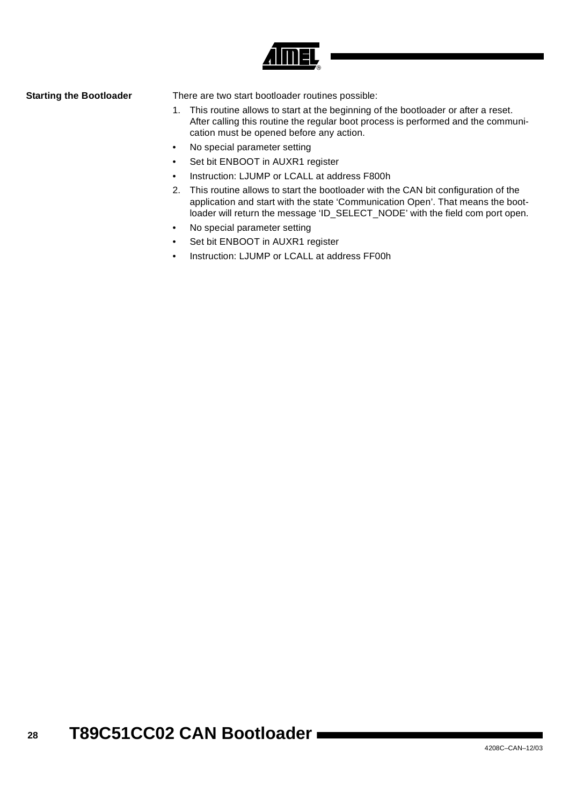

**Starting the Bootloader** There are two start bootloader routines possible:

- 1. This routine allows to start at the beginning of the bootloader or after a reset. After calling this routine the regular boot process is performed and the communication must be opened before any action.
- No special parameter setting
- Set bit ENBOOT in AUXR1 register
- Instruction: LJUMP or LCALL at address F800h
- 2. This routine allows to start the bootloader with the CAN bit configuration of the application and start with the state 'Communication Open'. That means the bootloader will return the message 'ID\_SELECT\_NODE' with the field com port open.
- No special parameter setting
- Set bit ENBOOT in AUXR1 register
- Instruction: LJUMP or LCALL at address FF00h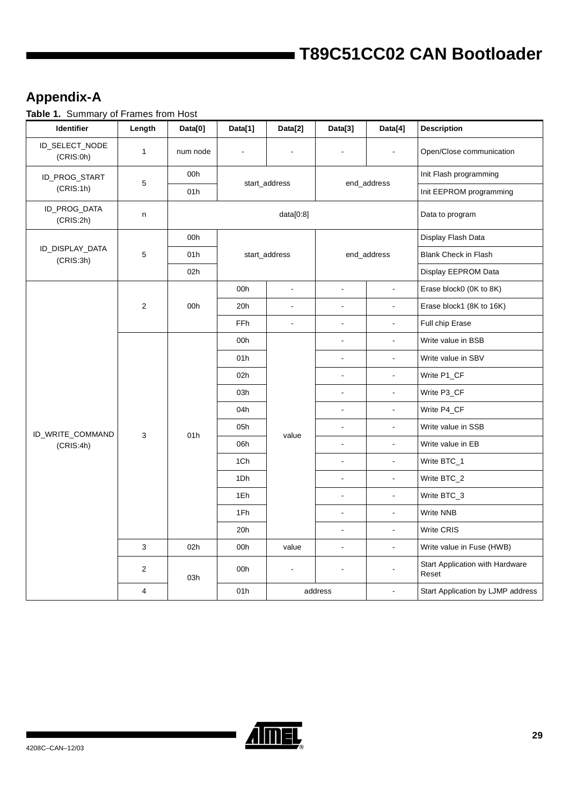## <span id="page-28-0"></span>**Appendix-A**

**Table 1.** Summary of Frames from Host

| Identifier                   | Length         | Data[0]  | Data[1]       | Data[2]                  | Data[3]        | Data[4]        | <b>Description</b>                       |
|------------------------------|----------------|----------|---------------|--------------------------|----------------|----------------|------------------------------------------|
| ID_SELECT_NODE<br>(CRIS:0h)  | $\mathbf{1}$   | num node |               |                          |                |                | Open/Close communication                 |
| ID_PROG_START                |                | 00h      | start_address |                          |                |                | Init Flash programming                   |
| (CRIS:1h)                    | 5              | 01h      |               |                          |                | end_address    | Init EEPROM programming                  |
| ID_PROG_DATA<br>(CRIS:2h)    | n              |          |               | data[0:8]                |                |                | Data to program                          |
|                              |                | 00h      |               |                          |                |                | Display Flash Data                       |
| ID_DISPLAY_DATA<br>(CRIS:3h) | 5              | 01h      |               | start_address            |                | end_address    | <b>Blank Check in Flash</b>              |
|                              |                | 02h      |               |                          |                |                | Display EEPROM Data                      |
|                              |                |          | 00h           | $\overline{\phantom{a}}$ | $\Box$         | $\frac{1}{2}$  | Erase block0 (0K to 8K)                  |
|                              | $\overline{2}$ | 00h      | 20h           | $\overline{\phantom{a}}$ | $\overline{a}$ | $\overline{a}$ | Erase block1 (8K to 16K)                 |
|                              |                |          | FFh           | $\omega$                 | $\blacksquare$ | $\overline{a}$ | Full chip Erase                          |
|                              |                |          | 00h           |                          | $\blacksquare$ | ÷,             | Write value in BSB                       |
|                              |                |          | 01h           |                          | $\blacksquare$ | $\overline{a}$ | Write value in SBV                       |
|                              |                |          | 02h           |                          | $\blacksquare$ | ä,             | Write P1_CF                              |
|                              |                |          | 03h           |                          | $\blacksquare$ | $\overline{a}$ | Write P3_CF                              |
|                              |                |          | 04h           |                          | $\blacksquare$ | $\overline{a}$ | Write P4_CF                              |
| ID_WRITE_COMMAND             |                | 01h      | 05h           |                          | $\blacksquare$ | $\overline{a}$ | Write value in SSB                       |
| (CRIS:4h)                    | 3              |          | 06h           | value                    | $\blacksquare$ | ÷,             | Write value in EB                        |
|                              |                |          | 1Ch           |                          | $\blacksquare$ | $\overline{a}$ | Write BTC_1                              |
|                              |                |          | 1Dh           |                          | $\blacksquare$ | $\overline{a}$ | Write BTC_2                              |
|                              |                |          | 1Eh           |                          | $\blacksquare$ | ÷,             | Write BTC_3                              |
|                              |                |          | 1Fh           |                          | $\blacksquare$ | $\overline{a}$ | Write NNB                                |
|                              |                |          | 20h           |                          | $\blacksquare$ | $\overline{a}$ | <b>Write CRIS</b>                        |
|                              | $\mathsf 3$    | 02h      | 00h           | value                    | $\blacksquare$ | $\frac{1}{2}$  | Write value in Fuse (HWB)                |
|                              | $\overline{c}$ | 03h      | 00h           | $\blacksquare$           |                |                | Start Application with Hardware<br>Reset |
|                              | 4              |          | 01h           |                          | address        |                | Start Application by LJMP address        |



▊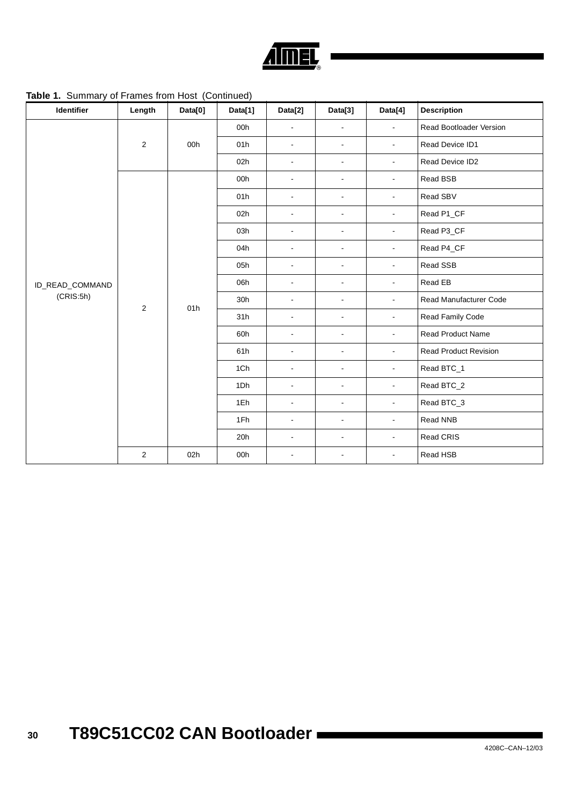

**Table 1.** Summary of Frames from Host (Continued)

| Identifier      | Length         | Data[0] | Data[1] | Data[2]        | Data[3]                  | Data[4]        | <b>Description</b>             |
|-----------------|----------------|---------|---------|----------------|--------------------------|----------------|--------------------------------|
|                 |                |         | 00h     | $\overline{a}$ | $\overline{\phantom{a}}$ | $\overline{a}$ | <b>Read Bootloader Version</b> |
|                 | $\overline{2}$ | 00h     | 01h     | $\blacksquare$ | $\blacksquare$           | $\blacksquare$ | Read Device ID1                |
|                 |                |         | 02h     | $\blacksquare$ | $\blacksquare$           | $\blacksquare$ | Read Device ID2                |
|                 |                |         | 00h     | $\blacksquare$ | $\blacksquare$           | $\blacksquare$ | Read BSB                       |
|                 |                |         | 01h     | $\blacksquare$ | $\blacksquare$           | $\blacksquare$ | Read SBV                       |
|                 |                |         | 02h     | $\blacksquare$ | $\blacksquare$           | $\blacksquare$ | Read P1_CF                     |
|                 |                |         | 03h     | $\blacksquare$ | $\blacksquare$           | $\blacksquare$ | Read P3_CF                     |
|                 | $\overline{c}$ | 01h     | 04h     | $\blacksquare$ | $\blacksquare$           | $\blacksquare$ | Read P4_CF                     |
|                 |                |         | 05h     | $\blacksquare$ | $\blacksquare$           | $\blacksquare$ | Read SSB                       |
| ID_READ_COMMAND |                |         | 06h     | $\blacksquare$ | $\blacksquare$           | $\blacksquare$ | Read EB                        |
| (CRIS:5h)       |                |         | 30h     | $\blacksquare$ | $\blacksquare$           | $\blacksquare$ | Read Manufacturer Code         |
|                 |                |         | 31h     | $\blacksquare$ | $\blacksquare$           | $\blacksquare$ | Read Family Code               |
|                 |                |         | 60h     | $\blacksquare$ | $\blacksquare$           | $\blacksquare$ | Read Product Name              |
|                 |                |         | 61h     | $\blacksquare$ | $\blacksquare$           | $\blacksquare$ | <b>Read Product Revision</b>   |
|                 |                |         | 1Ch     | $\blacksquare$ | $\blacksquare$           | $\blacksquare$ | Read BTC_1                     |
|                 |                |         | 1Dh     | $\blacksquare$ | $\blacksquare$           | $\blacksquare$ | Read BTC_2                     |
|                 |                |         | 1Eh     | $\blacksquare$ | $\blacksquare$           | $\blacksquare$ | Read BTC_3                     |
|                 |                |         | 1Fh     | $\blacksquare$ | $\blacksquare$           | $\blacksquare$ | Read NNB                       |
|                 |                |         | 20h     | $\blacksquare$ | $\blacksquare$           | $\blacksquare$ | Read CRIS                      |
|                 | $\overline{2}$ | 02h     | 00h     | $\blacksquare$ | $\blacksquare$           | $\blacksquare$ | Read HSB                       |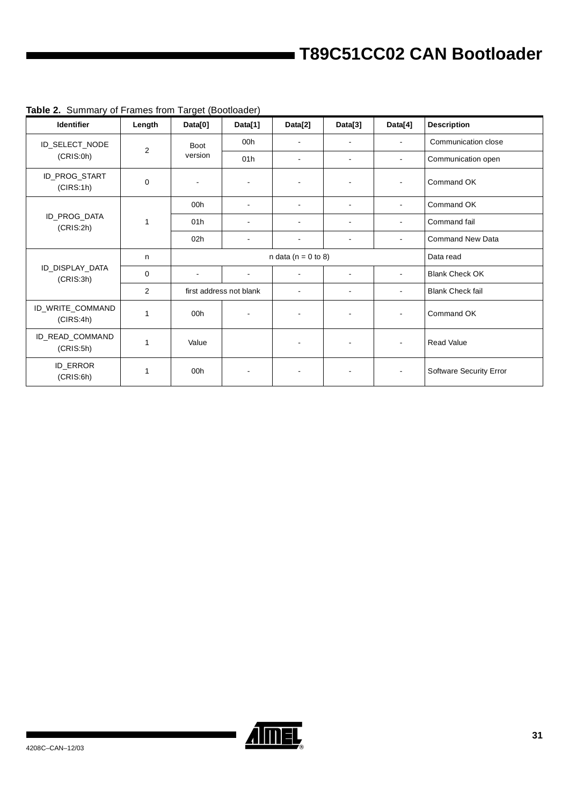| <b>Identifier</b>             | Length         | Data[0]        | Data[1]                  | Data[2]                  | Data[3]                  | Data[4]                  | <b>Description</b>      |
|-------------------------------|----------------|----------------|--------------------------|--------------------------|--------------------------|--------------------------|-------------------------|
| ID_SELECT_NODE                | $\overline{2}$ | <b>Boot</b>    | 00h                      |                          | $\blacksquare$           | $\overline{\phantom{a}}$ | Communication close     |
| (CRIS:0h)                     |                | version        | 01h                      |                          | $\blacksquare$           |                          | Communication open      |
| ID_PROG_START<br>(CIRS:1h)    | 0              | $\blacksquare$ | $\overline{\phantom{a}}$ | $\overline{\phantom{a}}$ | $\blacksquare$           |                          | Command OK              |
|                               |                | 00h            | $\blacksquare$           | $\sim$                   | $\blacksquare$           | $\blacksquare$           | Command OK              |
| ID_PROG_DATA<br>(CRIS:2h)     | 1              | 01h            | $\overline{\phantom{a}}$ |                          | $\overline{\phantom{a}}$ |                          | Command fail            |
|                               |                | 02h            |                          | $\overline{a}$           | $\overline{\phantom{a}}$ | $\overline{\phantom{a}}$ | <b>Command New Data</b> |
|                               | n              |                | n data ( $n = 0$ to 8)   | Data read                |                          |                          |                         |
| ID_DISPLAY_DATA<br>(CRIS:3h)  | $\mathbf 0$    |                |                          |                          | $\overline{\phantom{a}}$ |                          | <b>Blank Check OK</b>   |
|                               | 2              |                | first address not blank  | $\overline{\phantom{a}}$ | $\blacksquare$           | $\overline{\phantom{a}}$ | <b>Blank Check fail</b> |
| ID_WRITE_COMMAND<br>(CIRS:4h) | 1              | 00h            |                          | $\overline{\phantom{a}}$ |                          |                          | Command OK              |
| ID_READ_COMMAND<br>(CRIS:5h)  | 1              | Value          |                          |                          |                          |                          | <b>Read Value</b>       |
| ID_ERROR<br>(CRIS:6h)         | 1              | 00h            |                          |                          |                          |                          | Software Security Error |

### **Table 2.** Summary of Frames from Target (Bootloader)

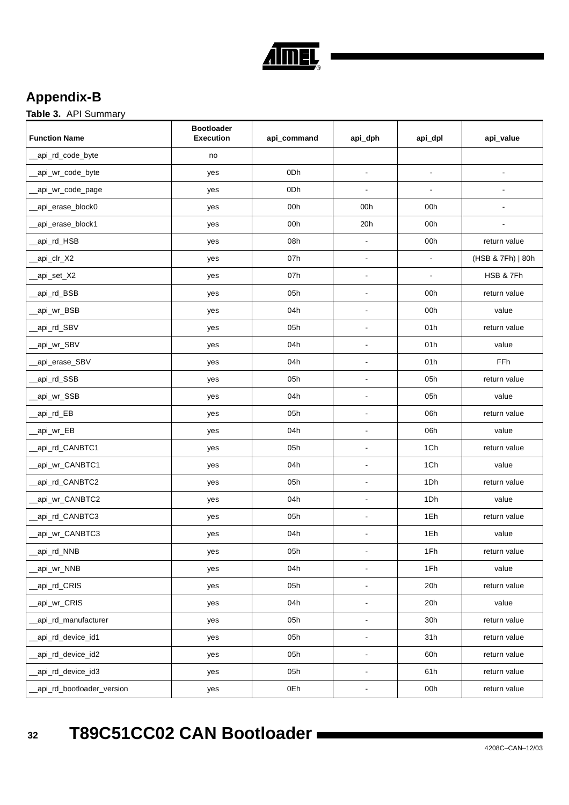

## <span id="page-31-0"></span>**Appendix-B**

**Table 3.** API Summary

| <b>Function Name</b>       | <b>Bootloader</b><br><b>Execution</b> | api_command     | api_dph        | api_dpl        | api_value                |
|----------------------------|---------------------------------------|-----------------|----------------|----------------|--------------------------|
| _api_rd_code_byte          | no                                    |                 |                |                |                          |
| _api_wr_code_byte          | yes                                   | 0Dh             | $\blacksquare$ | $\blacksquare$ | $\blacksquare$           |
| api_wr_code_page           | yes                                   | 0 <sub>Dh</sub> | $\blacksquare$ | $\blacksquare$ | $\overline{\phantom{a}}$ |
| _api_erase_block0          | yes                                   | 00h             | 00h            | 00h            | $\overline{a}$           |
| _api_erase_block1          | yes                                   | 00h             | 20h            | 00h            | $\blacksquare$           |
| _api_rd_HSB                | yes                                   | 08h             | $\Box$         | 00h            | return value             |
| _api_clr_X2                | yes                                   | 07h             | $\blacksquare$ | $\blacksquare$ | (HSB & 7Fh)   80h        |
| _api_set_X2                | yes                                   | 07h             | $\blacksquare$ | $\blacksquare$ | HSB & 7Fh                |
| _api_rd_BSB                | yes                                   | 05h             | $\blacksquare$ | 00h            | return value             |
| _api_wr_BSB                | yes                                   | 04h             | $\blacksquare$ | 00h            | value                    |
| _api_rd_SBV                | yes                                   | 05h             | $\blacksquare$ | 01h            | return value             |
| _api_wr_SBV                | yes                                   | 04h             | $\blacksquare$ | 01h            | value                    |
| _api_erase_SBV             | yes                                   | 04h             | $\overline{a}$ | 01h            | <b>FFh</b>               |
| api_rd_SSB                 | yes                                   | 05h             | $\blacksquare$ | 05h            | return value             |
| _api_wr_SSB                | yes                                   | 04h             | $\blacksquare$ | 05h            | value                    |
| _api_rd_EB                 | yes                                   | 05h             | $\overline{a}$ | 06h            | return value             |
| _api_wr_EB                 | yes                                   | 04h             | $\blacksquare$ | 06h            | value                    |
| _api_rd_CANBTC1            | yes                                   | 05h             | $\blacksquare$ | 1Ch            | return value             |
| _api_wr_CANBTC1            | yes                                   | 04h             | ä,             | 1Ch            | value                    |
| _api_rd_CANBTC2            | yes                                   | 05h             | $\blacksquare$ | 1Dh            | return value             |
| _api_wr_CANBTC2            | yes                                   | 04h             | $\blacksquare$ | 1Dh            | value                    |
| _api_rd_CANBTC3            | yes                                   | 05h             | $\blacksquare$ | 1Eh            | return value             |
| _api_wr_CANBTC3            | yes                                   | 04h             | $\overline{a}$ | 1Eh            | value                    |
| _api_rd_NNB                | yes                                   | 05h             |                | 1Fh            | return value             |
| _api_wr_NNB                | yes                                   | 04h             | L.             | 1Fh            | value                    |
| _api_rd_CRIS               | yes                                   | 05h             | $\Box$         | 20h            | return value             |
| _api_wr_CRIS               | yes                                   | 04h             | $\blacksquare$ | 20h            | value                    |
| _api_rd_manufacturer       | yes                                   | 05h             | ÷,             | 30h            | return value             |
| _api_rd_device_id1         | yes                                   | 05h             | $\Box$         | 31h            | return value             |
| _api_rd_device_id2         | yes                                   | 05h             | $\blacksquare$ | 60h            | return value             |
| _api_rd_device_id3         | yes                                   | 05h             | $\blacksquare$ | 61h            | return value             |
| _api_rd_bootloader_version | yes                                   | 0Eh             | $\blacksquare$ | 00h            | return value             |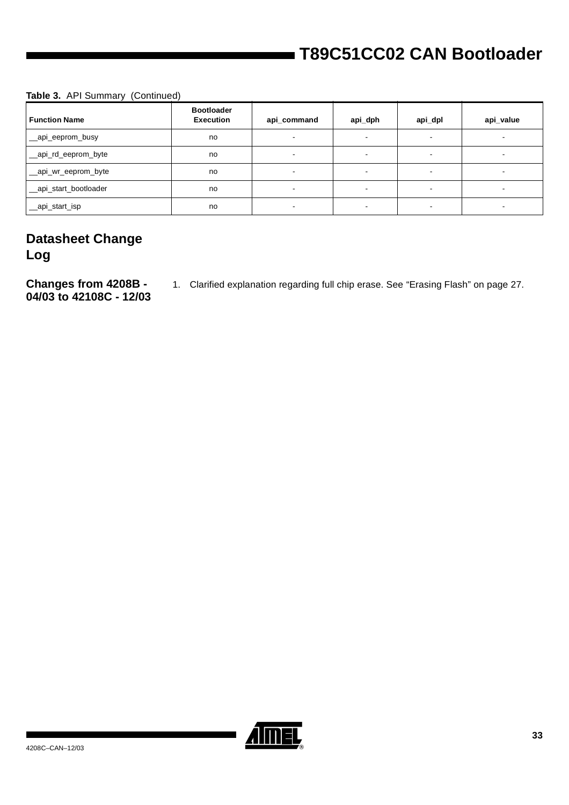### **Table 3.** API Summary (Continued)

| <b>Function Name</b>  | <b>Bootloader</b><br><b>Execution</b> | api_command              | api_dph                  | api_dpl                  | api_value |
|-----------------------|---------------------------------------|--------------------------|--------------------------|--------------------------|-----------|
| __api_eeprom_busy     | no                                    | $\sim$                   | $\sim$                   | $\overline{\phantom{a}}$ |           |
| _api_rd_eeprom_byte   | no                                    | $\sim$                   | $\sim$                   | $\sim$                   |           |
| _api_wr_eeprom_byte   | no                                    |                          | $\overline{\phantom{a}}$ | $\overline{\phantom{a}}$ |           |
| _api_start_bootloader | no                                    | $\overline{\phantom{a}}$ | $\blacksquare$           | $\overline{\phantom{a}}$ |           |
| _api_start_isp        | no                                    | $\overline{\phantom{a}}$ | $\overline{\phantom{a}}$ | $\overline{\phantom{a}}$ |           |

## <span id="page-32-0"></span>**Datasheet Change Log**

<span id="page-32-1"></span>**Changes from 4208B - 04/03 to 42108C - 12/03** 1. Clarified explanation regarding full chip erase. See ["Erasing Flash" on page 27](#page-26-0).

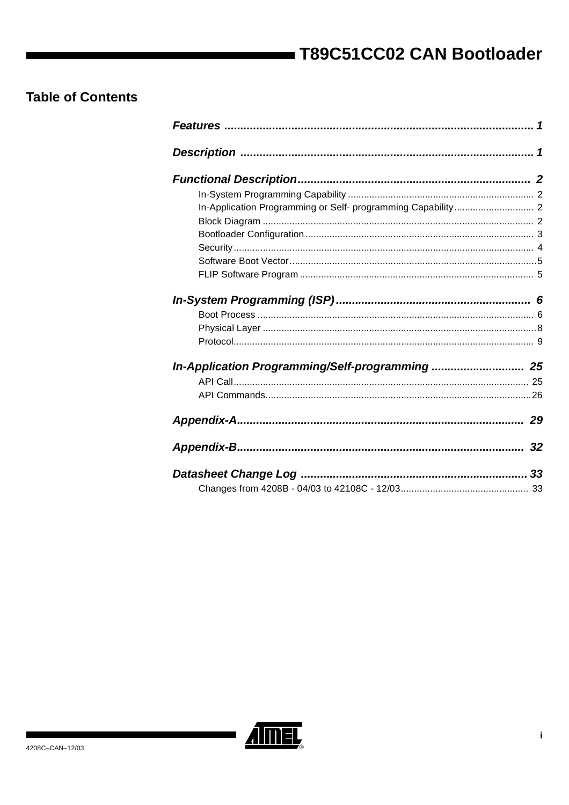## **Table of Contents**

| In-Application Programming/Self-programming  25 |    |
|-------------------------------------------------|----|
|                                                 |    |
|                                                 |    |
|                                                 |    |
|                                                 | 32 |
|                                                 |    |
|                                                 |    |



▊